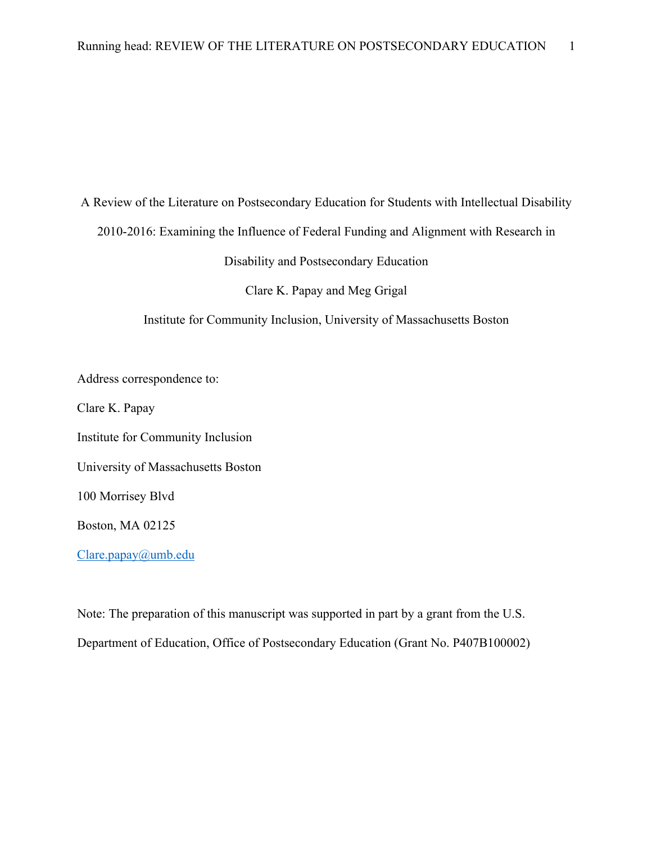A Review of the Literature on Postsecondary Education for Students with Intellectual Disability

2010-2016: Examining the Influence of Federal Funding and Alignment with Research in

Disability and Postsecondary Education

Clare K. Papay and Meg Grigal

Institute for Community Inclusion, University of Massachusetts Boston

Address correspondence to:

Clare K. Papay

Institute for Community Inclusion

University of Massachusetts Boston

100 Morrisey Blvd

Boston, MA 02125

Clare.papay@umb.edu

Note: The preparation of this manuscript was supported in part by a grant from the U.S. Department of Education, Office of Postsecondary Education (Grant No. P407B100002)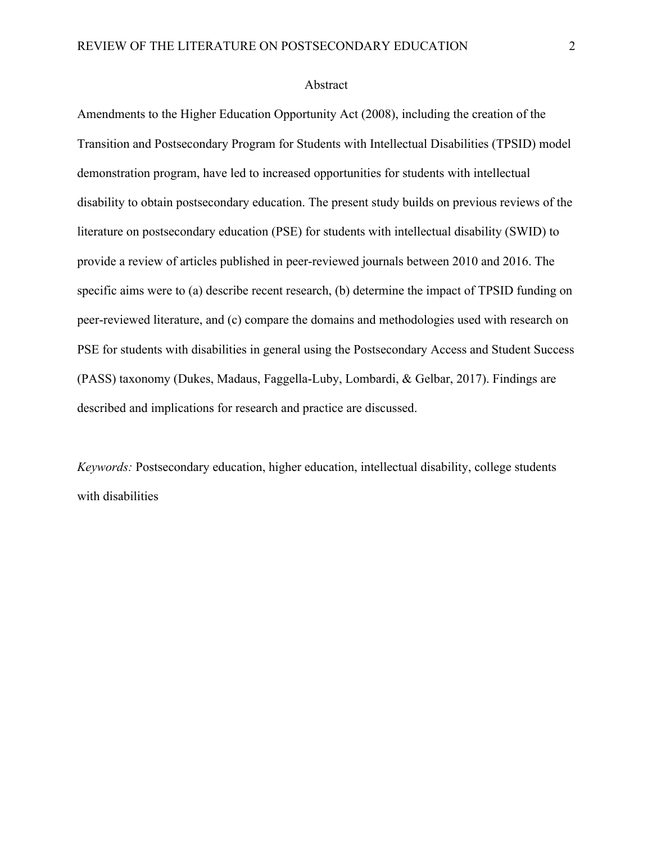#### Abstract

Amendments to the Higher Education Opportunity Act (2008), including the creation of the Transition and Postsecondary Program for Students with Intellectual Disabilities (TPSID) model demonstration program, have led to increased opportunities for students with intellectual disability to obtain postsecondary education. The present study builds on previous reviews of the literature on postsecondary education (PSE) for students with intellectual disability (SWID) to provide a review of articles published in peer-reviewed journals between 2010 and 2016. The specific aims were to (a) describe recent research, (b) determine the impact of TPSID funding on peer-reviewed literature, and (c) compare the domains and methodologies used with research on PSE for students with disabilities in general using the Postsecondary Access and Student Success (PASS) taxonomy (Dukes, Madaus, Faggella-Luby, Lombardi, & Gelbar, 2017). Findings are described and implications for research and practice are discussed.

*Keywords:* Postsecondary education, higher education, intellectual disability, college students with disabilities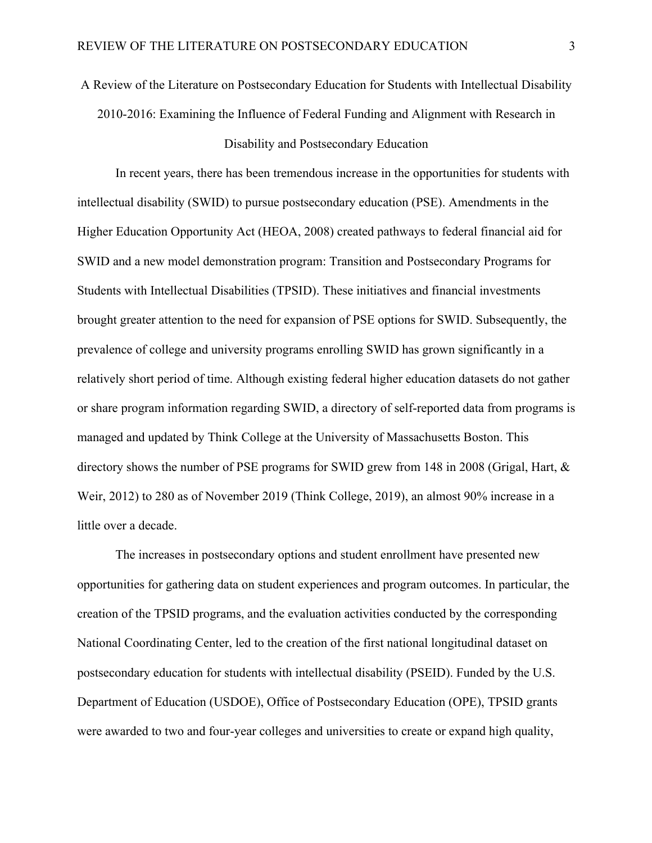# A Review of the Literature on Postsecondary Education for Students with Intellectual Disability 2010-2016: Examining the Influence of Federal Funding and Alignment with Research in

### Disability and Postsecondary Education

In recent years, there has been tremendous increase in the opportunities for students with intellectual disability (SWID) to pursue postsecondary education (PSE). Amendments in the Higher Education Opportunity Act (HEOA, 2008) created pathways to federal financial aid for SWID and a new model demonstration program: Transition and Postsecondary Programs for Students with Intellectual Disabilities (TPSID). These initiatives and financial investments brought greater attention to the need for expansion of PSE options for SWID. Subsequently, the prevalence of college and university programs enrolling SWID has grown significantly in a relatively short period of time. Although existing federal higher education datasets do not gather or share program information regarding SWID, a directory of self-reported data from programs is managed and updated by Think College at the University of Massachusetts Boston. This directory shows the number of PSE programs for SWID grew from 148 in 2008 (Grigal, Hart, & Weir, 2012) to 280 as of November 2019 (Think College, 2019), an almost 90% increase in a little over a decade.

The increases in postsecondary options and student enrollment have presented new opportunities for gathering data on student experiences and program outcomes. In particular, the creation of the TPSID programs, and the evaluation activities conducted by the corresponding National Coordinating Center, led to the creation of the first national longitudinal dataset on postsecondary education for students with intellectual disability (PSEID). Funded by the U.S. Department of Education (USDOE), Office of Postsecondary Education (OPE), TPSID grants were awarded to two and four-year colleges and universities to create or expand high quality,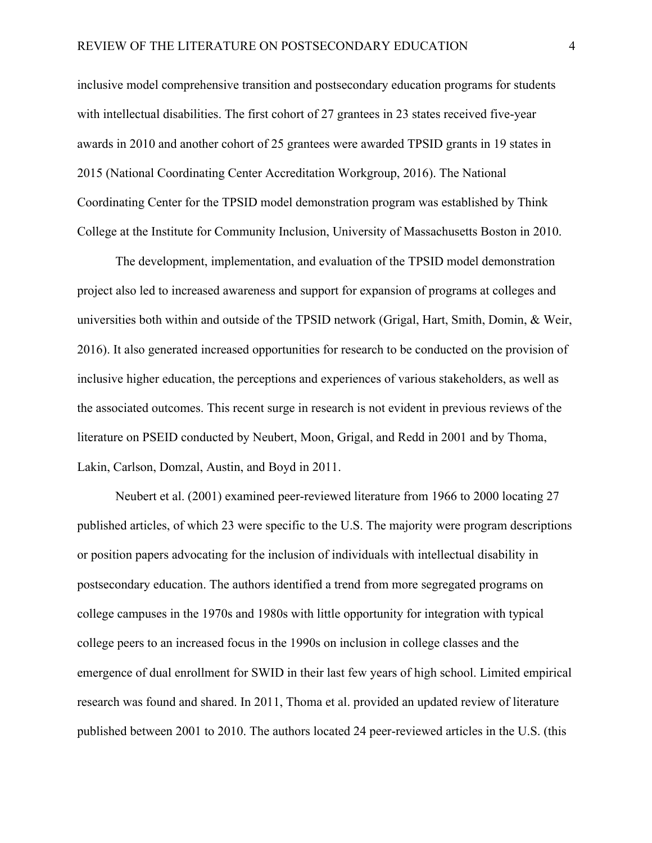inclusive model comprehensive transition and postsecondary education programs for students with intellectual disabilities. The first cohort of 27 grantees in 23 states received five-year awards in 2010 and another cohort of 25 grantees were awarded TPSID grants in 19 states in 2015 (National Coordinating Center Accreditation Workgroup, 2016). The National Coordinating Center for the TPSID model demonstration program was established by Think College at the Institute for Community Inclusion, University of Massachusetts Boston in 2010.

The development, implementation, and evaluation of the TPSID model demonstration project also led to increased awareness and support for expansion of programs at colleges and universities both within and outside of the TPSID network (Grigal, Hart, Smith, Domin, & Weir, 2016). It also generated increased opportunities for research to be conducted on the provision of inclusive higher education, the perceptions and experiences of various stakeholders, as well as the associated outcomes. This recent surge in research is not evident in previous reviews of the literature on PSEID conducted by Neubert, Moon, Grigal, and Redd in 2001 and by Thoma, Lakin, Carlson, Domzal, Austin, and Boyd in 2011.

Neubert et al. (2001) examined peer-reviewed literature from 1966 to 2000 locating 27 published articles, of which 23 were specific to the U.S. The majority were program descriptions or position papers advocating for the inclusion of individuals with intellectual disability in postsecondary education. The authors identified a trend from more segregated programs on college campuses in the 1970s and 1980s with little opportunity for integration with typical college peers to an increased focus in the 1990s on inclusion in college classes and the emergence of dual enrollment for SWID in their last few years of high school. Limited empirical research was found and shared. In 2011, Thoma et al. provided an updated review of literature published between 2001 to 2010. The authors located 24 peer-reviewed articles in the U.S. (this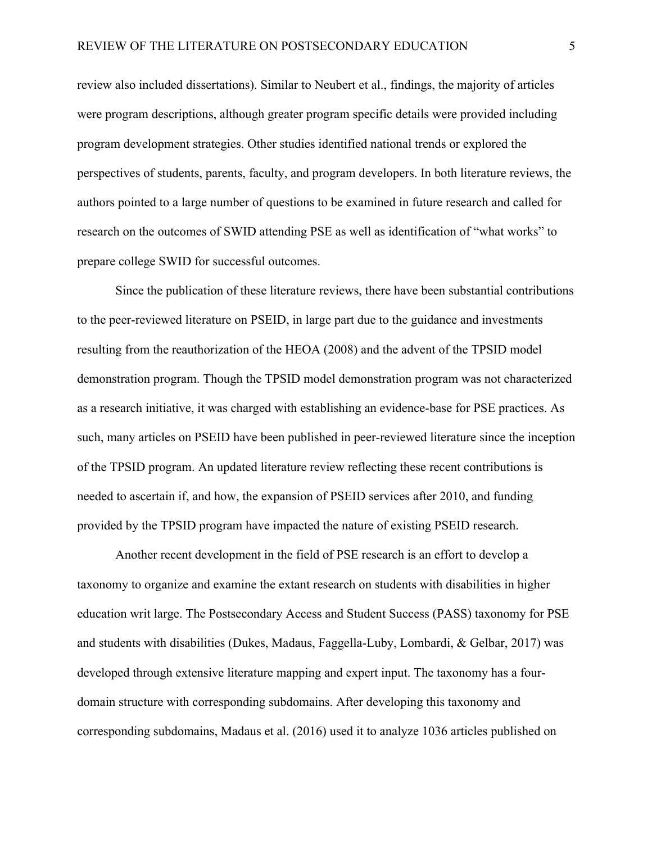review also included dissertations). Similar to Neubert et al., findings, the majority of articles were program descriptions, although greater program specific details were provided including program development strategies. Other studies identified national trends or explored the perspectives of students, parents, faculty, and program developers. In both literature reviews, the authors pointed to a large number of questions to be examined in future research and called for research on the outcomes of SWID attending PSE as well as identification of "what works" to prepare college SWID for successful outcomes.

Since the publication of these literature reviews, there have been substantial contributions to the peer-reviewed literature on PSEID, in large part due to the guidance and investments resulting from the reauthorization of the HEOA (2008) and the advent of the TPSID model demonstration program. Though the TPSID model demonstration program was not characterized as a research initiative, it was charged with establishing an evidence-base for PSE practices. As such, many articles on PSEID have been published in peer-reviewed literature since the inception of the TPSID program. An updated literature review reflecting these recent contributions is needed to ascertain if, and how, the expansion of PSEID services after 2010, and funding provided by the TPSID program have impacted the nature of existing PSEID research.

Another recent development in the field of PSE research is an effort to develop a taxonomy to organize and examine the extant research on students with disabilities in higher education writ large. The Postsecondary Access and Student Success (PASS) taxonomy for PSE and students with disabilities (Dukes, Madaus, Faggella-Luby, Lombardi, & Gelbar, 2017) was developed through extensive literature mapping and expert input. The taxonomy has a fourdomain structure with corresponding subdomains. After developing this taxonomy and corresponding subdomains, Madaus et al. (2016) used it to analyze 1036 articles published on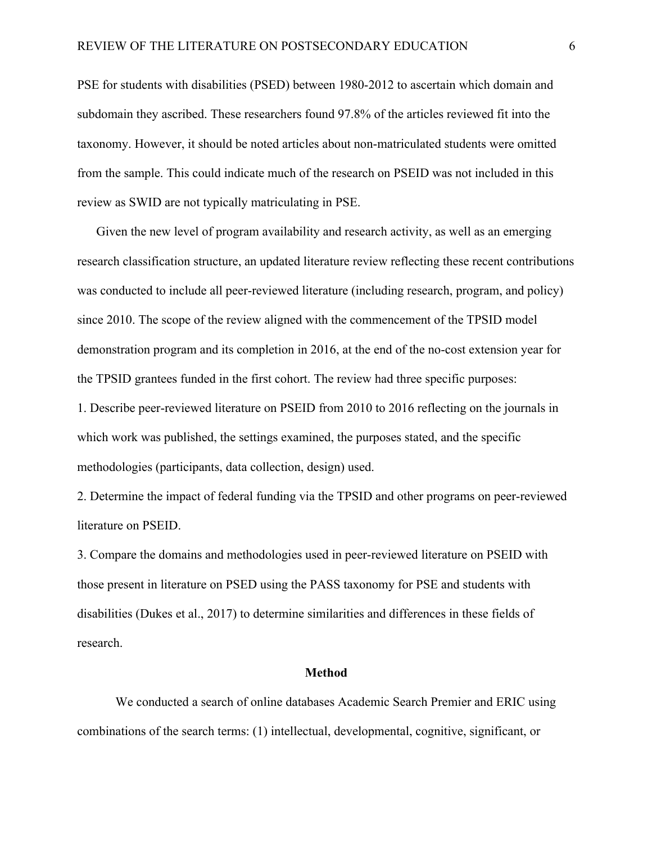PSE for students with disabilities (PSED) between 1980-2012 to ascertain which domain and subdomain they ascribed. These researchers found 97.8% of the articles reviewed fit into the taxonomy. However, it should be noted articles about non-matriculated students were omitted from the sample. This could indicate much of the research on PSEID was not included in this review as SWID are not typically matriculating in PSE.

Given the new level of program availability and research activity, as well as an emerging research classification structure, an updated literature review reflecting these recent contributions was conducted to include all peer-reviewed literature (including research, program, and policy) since 2010. The scope of the review aligned with the commencement of the TPSID model demonstration program and its completion in 2016, at the end of the no-cost extension year for the TPSID grantees funded in the first cohort. The review had three specific purposes: 1. Describe peer-reviewed literature on PSEID from 2010 to 2016 reflecting on the journals in which work was published, the settings examined, the purposes stated, and the specific methodologies (participants, data collection, design) used.

2. Determine the impact of federal funding via the TPSID and other programs on peer-reviewed literature on PSEID.

3. Compare the domains and methodologies used in peer-reviewed literature on PSEID with those present in literature on PSED using the PASS taxonomy for PSE and students with disabilities (Dukes et al., 2017) to determine similarities and differences in these fields of research.

#### **Method**

We conducted a search of online databases Academic Search Premier and ERIC using combinations of the search terms: (1) intellectual, developmental, cognitive, significant, or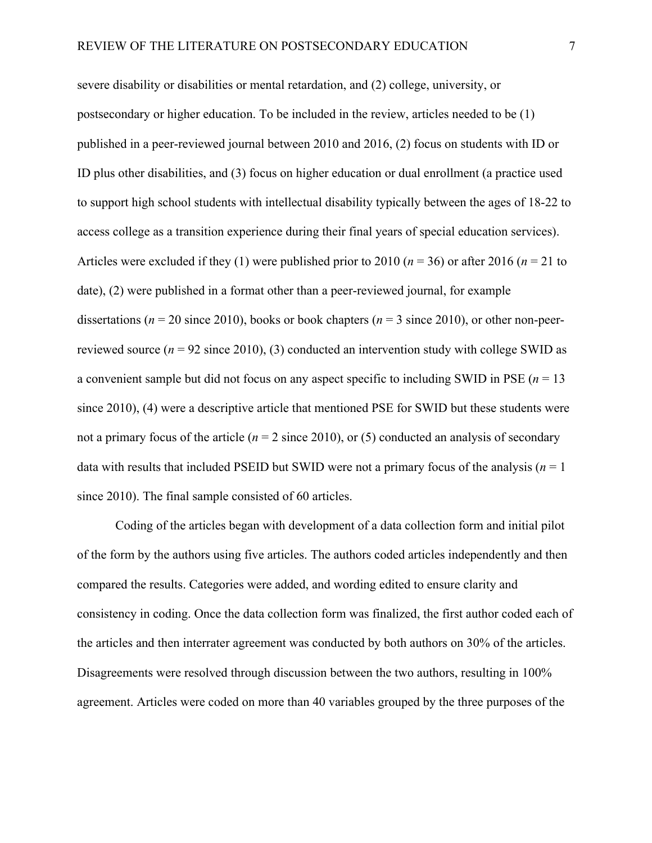severe disability or disabilities or mental retardation, and (2) college, university, or postsecondary or higher education. To be included in the review, articles needed to be (1) published in a peer-reviewed journal between 2010 and 2016, (2) focus on students with ID or ID plus other disabilities, and (3) focus on higher education or dual enrollment (a practice used to support high school students with intellectual disability typically between the ages of 18-22 to access college as a transition experience during their final years of special education services). Articles were excluded if they (1) were published prior to 2010 ( $n = 36$ ) or after 2016 ( $n = 21$  to date), (2) were published in a format other than a peer-reviewed journal, for example dissertations (*n* = 20 since 2010), books or book chapters (*n* = 3 since 2010), or other non-peerreviewed source  $(n = 92 \text{ since } 2010)$ , (3) conducted an intervention study with college SWID as a convenient sample but did not focus on any aspect specific to including SWID in PSE (*n* = 13 since 2010), (4) were a descriptive article that mentioned PSE for SWID but these students were not a primary focus of the article ( $n = 2$  since 2010), or (5) conducted an analysis of secondary data with results that included PSEID but SWID were not a primary focus of the analysis (*n* = 1 since 2010). The final sample consisted of 60 articles.

Coding of the articles began with development of a data collection form and initial pilot of the form by the authors using five articles. The authors coded articles independently and then compared the results. Categories were added, and wording edited to ensure clarity and consistency in coding. Once the data collection form was finalized, the first author coded each of the articles and then interrater agreement was conducted by both authors on 30% of the articles. Disagreements were resolved through discussion between the two authors, resulting in 100% agreement. Articles were coded on more than 40 variables grouped by the three purposes of the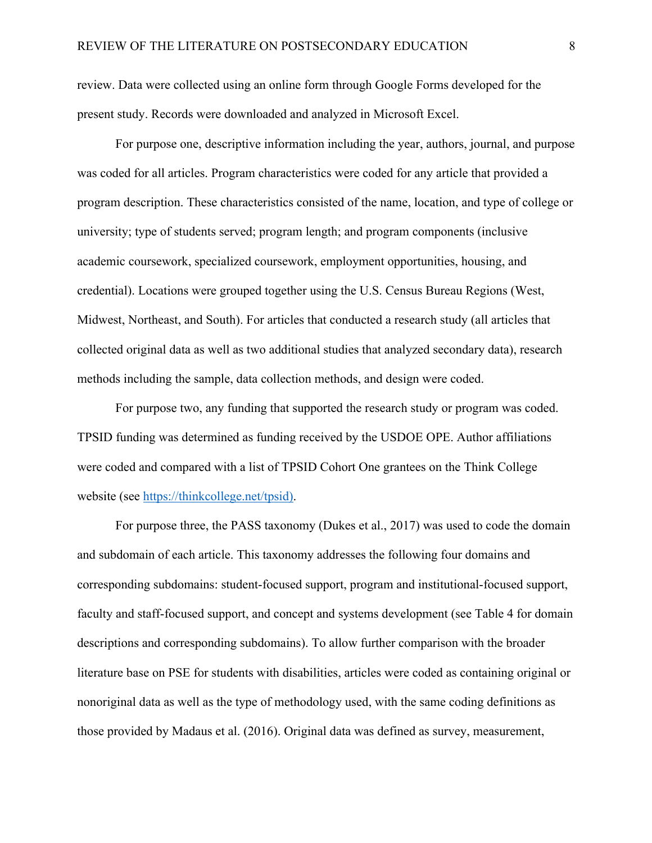review. Data were collected using an online form through Google Forms developed for the present study. Records were downloaded and analyzed in Microsoft Excel.

For purpose one, descriptive information including the year, authors, journal, and purpose was coded for all articles. Program characteristics were coded for any article that provided a program description. These characteristics consisted of the name, location, and type of college or university; type of students served; program length; and program components (inclusive academic coursework, specialized coursework, employment opportunities, housing, and credential). Locations were grouped together using the U.S. Census Bureau Regions (West, Midwest, Northeast, and South). For articles that conducted a research study (all articles that collected original data as well as two additional studies that analyzed secondary data), research methods including the sample, data collection methods, and design were coded.

For purpose two, any funding that supported the research study or program was coded. TPSID funding was determined as funding received by the USDOE OPE. Author affiliations were coded and compared with a list of TPSID Cohort One grantees on the Think College website (see https://thinkcollege.net/tpsid).

For purpose three, the PASS taxonomy (Dukes et al., 2017) was used to code the domain and subdomain of each article. This taxonomy addresses the following four domains and corresponding subdomains: student-focused support, program and institutional-focused support, faculty and staff-focused support, and concept and systems development (see Table 4 for domain descriptions and corresponding subdomains). To allow further comparison with the broader literature base on PSE for students with disabilities, articles were coded as containing original or nonoriginal data as well as the type of methodology used, with the same coding definitions as those provided by Madaus et al. (2016). Original data was defined as survey, measurement,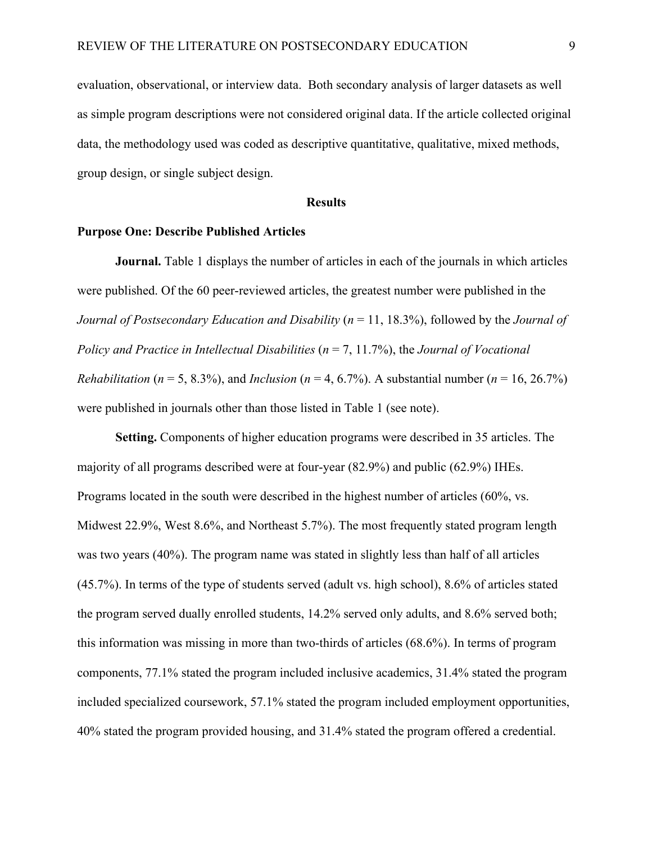evaluation, observational, or interview data. Both secondary analysis of larger datasets as well as simple program descriptions were not considered original data. If the article collected original data, the methodology used was coded as descriptive quantitative, qualitative, mixed methods, group design, or single subject design.

#### **Results**

#### **Purpose One: Describe Published Articles**

**Journal.** Table 1 displays the number of articles in each of the journals in which articles were published. Of the 60 peer-reviewed articles, the greatest number were published in the *Journal of Postsecondary Education and Disability* (*n* = 11, 18.3%), followed by the *Journal of Policy and Practice in Intellectual Disabilities* (*n* = 7, 11.7%), the *Journal of Vocational Rehabilitation* ( $n = 5$ , 8.3%), and *Inclusion* ( $n = 4$ , 6.7%). A substantial number ( $n = 16$ , 26.7%) were published in journals other than those listed in Table 1 (see note).

**Setting.** Components of higher education programs were described in 35 articles. The majority of all programs described were at four-year (82.9%) and public (62.9%) IHEs. Programs located in the south were described in the highest number of articles (60%, vs. Midwest 22.9%, West 8.6%, and Northeast 5.7%). The most frequently stated program length was two years (40%). The program name was stated in slightly less than half of all articles (45.7%). In terms of the type of students served (adult vs. high school), 8.6% of articles stated the program served dually enrolled students, 14.2% served only adults, and 8.6% served both; this information was missing in more than two-thirds of articles (68.6%). In terms of program components, 77.1% stated the program included inclusive academics, 31.4% stated the program included specialized coursework, 57.1% stated the program included employment opportunities, 40% stated the program provided housing, and 31.4% stated the program offered a credential.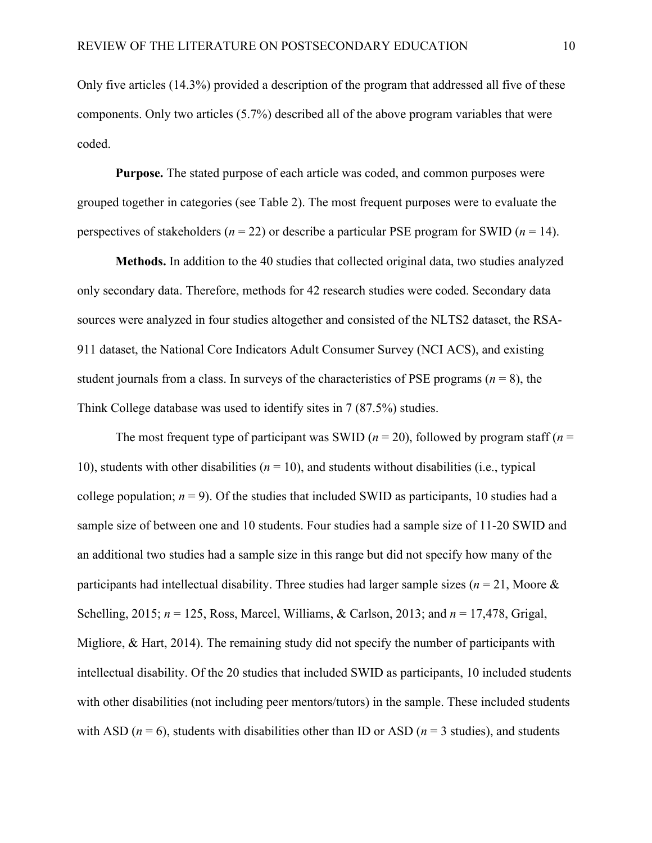Only five articles (14.3%) provided a description of the program that addressed all five of these components. Only two articles (5.7%) described all of the above program variables that were coded.

**Purpose.** The stated purpose of each article was coded, and common purposes were grouped together in categories (see Table 2). The most frequent purposes were to evaluate the perspectives of stakeholders (*n* = 22) or describe a particular PSE program for SWID (*n* = 14).

**Methods.** In addition to the 40 studies that collected original data, two studies analyzed only secondary data. Therefore, methods for 42 research studies were coded. Secondary data sources were analyzed in four studies altogether and consisted of the NLTS2 dataset, the RSA-911 dataset, the National Core Indicators Adult Consumer Survey (NCI ACS), and existing student journals from a class. In surveys of the characteristics of PSE programs ( $n = 8$ ), the Think College database was used to identify sites in 7 (87.5%) studies.

The most frequent type of participant was SWID ( $n = 20$ ), followed by program staff ( $n =$ 10), students with other disabilities  $(n = 10)$ , and students without disabilities (i.e., typical college population;  $n = 9$ ). Of the studies that included SWID as participants, 10 studies had a sample size of between one and 10 students. Four studies had a sample size of 11-20 SWID and an additional two studies had a sample size in this range but did not specify how many of the participants had intellectual disability. Three studies had larger sample sizes ( $n = 21$ , Moore & Schelling, 2015; *n* = 125, Ross, Marcel, Williams, & Carlson, 2013; and *n* = 17,478, Grigal, Migliore, & Hart, 2014). The remaining study did not specify the number of participants with intellectual disability. Of the 20 studies that included SWID as participants, 10 included students with other disabilities (not including peer mentors/tutors) in the sample. These included students with ASD ( $n = 6$ ), students with disabilities other than ID or ASD ( $n = 3$  studies), and students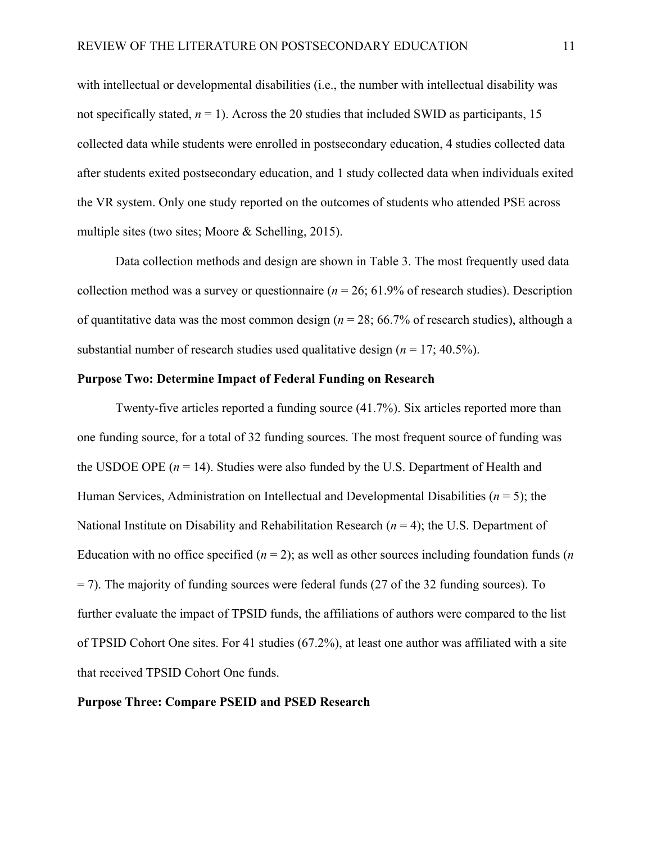with intellectual or developmental disabilities (i.e., the number with intellectual disability was not specifically stated,  $n = 1$ ). Across the 20 studies that included SWID as participants, 15 collected data while students were enrolled in postsecondary education, 4 studies collected data after students exited postsecondary education, and 1 study collected data when individuals exited the VR system. Only one study reported on the outcomes of students who attended PSE across multiple sites (two sites; Moore & Schelling, 2015).

Data collection methods and design are shown in Table 3. The most frequently used data collection method was a survey or questionnaire ( $n = 26$ ; 61.9% of research studies). Description of quantitative data was the most common design (*n* = 28; 66.7% of research studies), although a substantial number of research studies used qualitative design (*n* = 17; 40.5%).

#### **Purpose Two: Determine Impact of Federal Funding on Research**

Twenty-five articles reported a funding source (41.7%). Six articles reported more than one funding source, for a total of 32 funding sources. The most frequent source of funding was the USDOE OPE  $(n = 14)$ . Studies were also funded by the U.S. Department of Health and Human Services, Administration on Intellectual and Developmental Disabilities (*n* = 5); the National Institute on Disability and Rehabilitation Research (*n* = 4); the U.S. Department of Education with no office specified  $(n = 2)$ ; as well as other sources including foundation funds  $(n$ = 7). The majority of funding sources were federal funds (27 of the 32 funding sources). To further evaluate the impact of TPSID funds, the affiliations of authors were compared to the list of TPSID Cohort One sites. For 41 studies (67.2%), at least one author was affiliated with a site that received TPSID Cohort One funds.

#### **Purpose Three: Compare PSEID and PSED Research**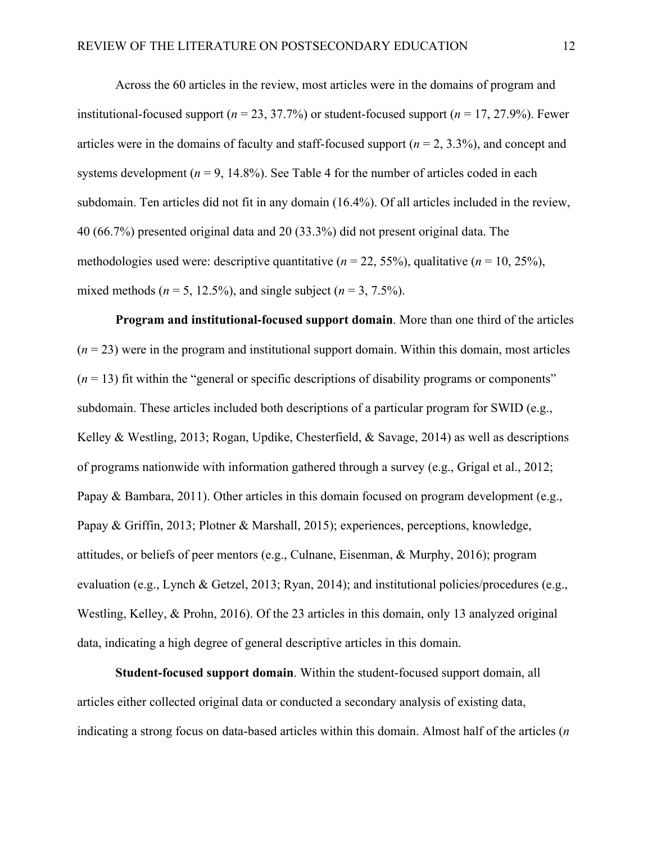Across the 60 articles in the review, most articles were in the domains of program and institutional-focused support ( $n = 23, 37.7\%$ ) or student-focused support ( $n = 17, 27.9\%$ ). Fewer articles were in the domains of faculty and staff-focused support (*n* = 2, 3.3%), and concept and systems development  $(n = 9, 14.8\%)$ . See Table 4 for the number of articles coded in each subdomain. Ten articles did not fit in any domain (16.4%). Of all articles included in the review, 40 (66.7%) presented original data and 20 (33.3%) did not present original data. The methodologies used were: descriptive quantitative ( $n = 22, 55\%$ ), qualitative ( $n = 10, 25\%$ ), mixed methods ( $n = 5$ , 12.5%), and single subject ( $n = 3, 7.5\%$ ).

**Program and institutional-focused support domain**. More than one third of the articles  $(n = 23)$  were in the program and institutional support domain. Within this domain, most articles  $(n = 13)$  fit within the "general or specific descriptions of disability programs or components" subdomain. These articles included both descriptions of a particular program for SWID (e.g., Kelley & Westling, 2013; Rogan, Updike, Chesterfield, & Savage, 2014) as well as descriptions of programs nationwide with information gathered through a survey (e.g., Grigal et al., 2012; Papay & Bambara, 2011). Other articles in this domain focused on program development (e.g., Papay & Griffin, 2013; Plotner & Marshall, 2015); experiences, perceptions, knowledge, attitudes, or beliefs of peer mentors (e.g., Culnane, Eisenman, & Murphy, 2016); program evaluation (e.g., Lynch & Getzel, 2013; Ryan, 2014); and institutional policies/procedures (e.g., Westling, Kelley, & Prohn, 2016). Of the 23 articles in this domain, only 13 analyzed original data, indicating a high degree of general descriptive articles in this domain.

**Student-focused support domain**. Within the student-focused support domain, all articles either collected original data or conducted a secondary analysis of existing data, indicating a strong focus on data-based articles within this domain. Almost half of the articles (*n*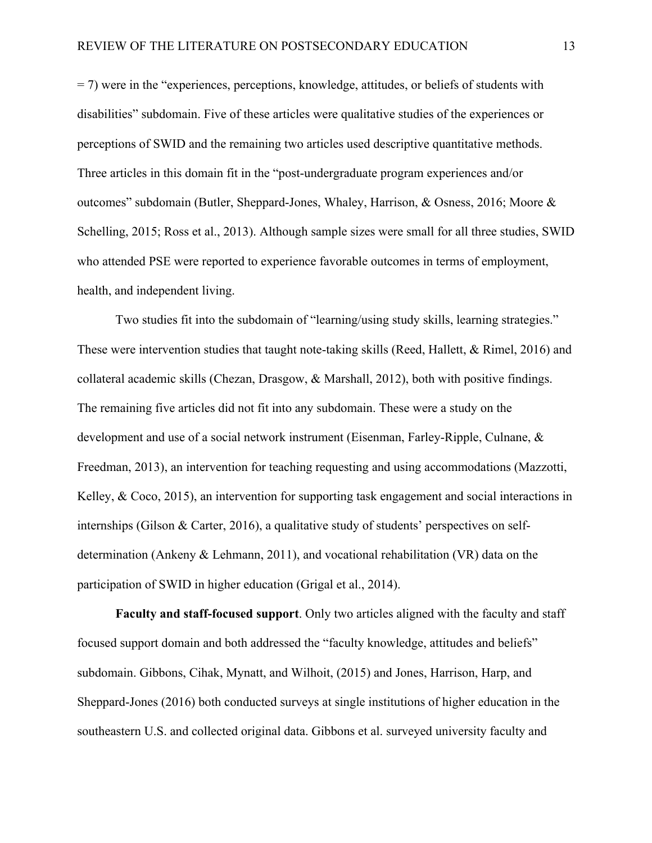= 7) were in the "experiences, perceptions, knowledge, attitudes, or beliefs of students with disabilities" subdomain. Five of these articles were qualitative studies of the experiences or perceptions of SWID and the remaining two articles used descriptive quantitative methods. Three articles in this domain fit in the "post-undergraduate program experiences and/or outcomes" subdomain (Butler, Sheppard-Jones, Whaley, Harrison, & Osness, 2016; Moore & Schelling, 2015; Ross et al., 2013). Although sample sizes were small for all three studies, SWID who attended PSE were reported to experience favorable outcomes in terms of employment, health, and independent living.

Two studies fit into the subdomain of "learning/using study skills, learning strategies." These were intervention studies that taught note-taking skills (Reed, Hallett, & Rimel, 2016) and collateral academic skills (Chezan, Drasgow, & Marshall, 2012), both with positive findings. The remaining five articles did not fit into any subdomain. These were a study on the development and use of a social network instrument (Eisenman, Farley-Ripple, Culnane, & Freedman, 2013), an intervention for teaching requesting and using accommodations (Mazzotti, Kelley,  $& Coco, 2015$ ), an intervention for supporting task engagement and social interactions in internships (Gilson & Carter, 2016), a qualitative study of students' perspectives on selfdetermination (Ankeny & Lehmann, 2011), and vocational rehabilitation (VR) data on the participation of SWID in higher education (Grigal et al., 2014).

**Faculty and staff-focused support**. Only two articles aligned with the faculty and staff focused support domain and both addressed the "faculty knowledge, attitudes and beliefs" subdomain. Gibbons, Cihak, Mynatt, and Wilhoit, (2015) and Jones, Harrison, Harp, and Sheppard-Jones (2016) both conducted surveys at single institutions of higher education in the southeastern U.S. and collected original data. Gibbons et al. surveyed university faculty and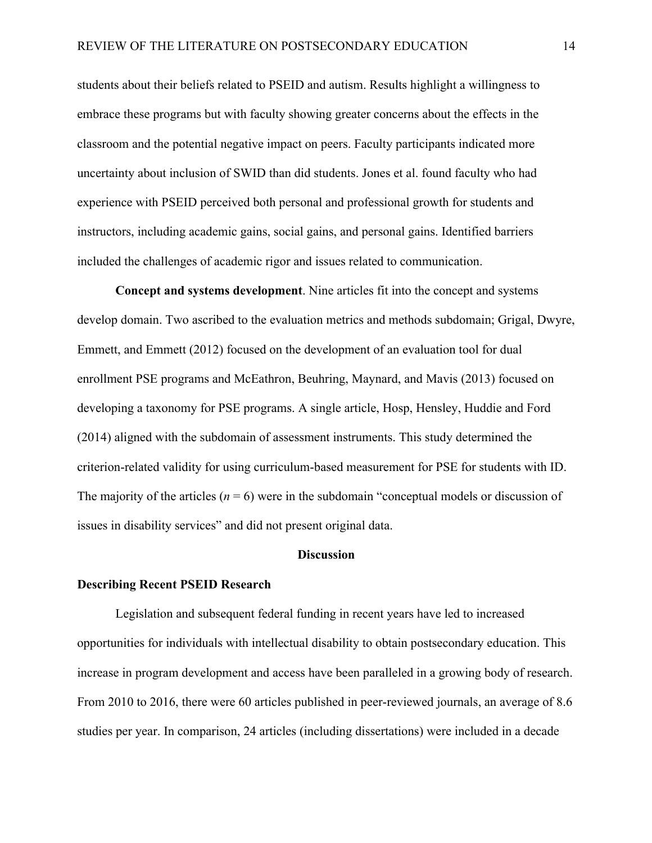students about their beliefs related to PSEID and autism. Results highlight a willingness to embrace these programs but with faculty showing greater concerns about the effects in the classroom and the potential negative impact on peers. Faculty participants indicated more uncertainty about inclusion of SWID than did students. Jones et al. found faculty who had experience with PSEID perceived both personal and professional growth for students and instructors, including academic gains, social gains, and personal gains. Identified barriers included the challenges of academic rigor and issues related to communication.

**Concept and systems development**. Nine articles fit into the concept and systems develop domain. Two ascribed to the evaluation metrics and methods subdomain; Grigal, Dwyre, Emmett, and Emmett (2012) focused on the development of an evaluation tool for dual enrollment PSE programs and McEathron, Beuhring, Maynard, and Mavis (2013) focused on developing a taxonomy for PSE programs. A single article, Hosp, Hensley, Huddie and Ford (2014) aligned with the subdomain of assessment instruments. This study determined the criterion-related validity for using curriculum-based measurement for PSE for students with ID. The majority of the articles  $(n = 6)$  were in the subdomain "conceptual models or discussion of issues in disability services" and did not present original data.

#### **Discussion**

#### **Describing Recent PSEID Research**

Legislation and subsequent federal funding in recent years have led to increased opportunities for individuals with intellectual disability to obtain postsecondary education. This increase in program development and access have been paralleled in a growing body of research. From 2010 to 2016, there were 60 articles published in peer-reviewed journals, an average of 8.6 studies per year. In comparison, 24 articles (including dissertations) were included in a decade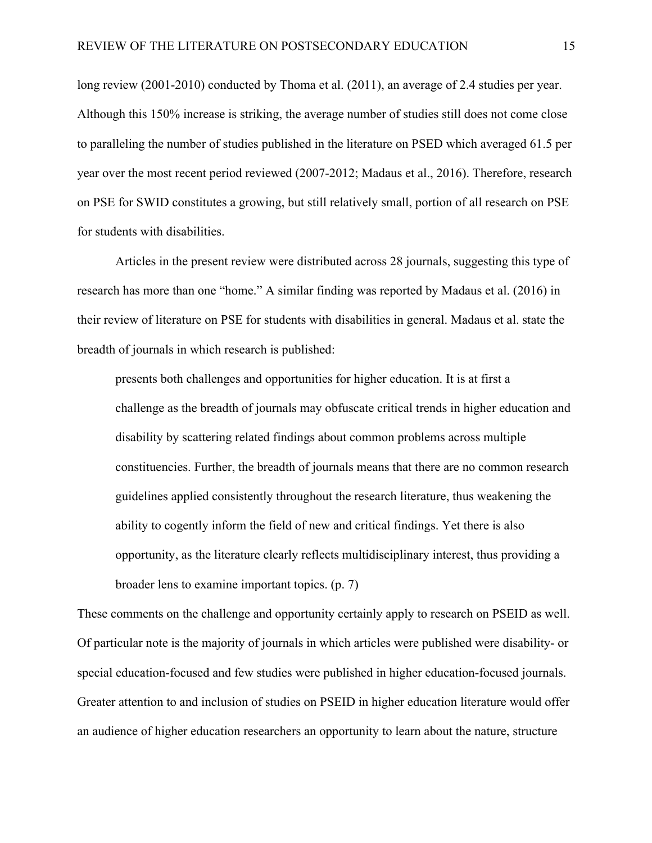long review (2001-2010) conducted by Thoma et al. (2011), an average of 2.4 studies per year. Although this 150% increase is striking, the average number of studies still does not come close to paralleling the number of studies published in the literature on PSED which averaged 61.5 per year over the most recent period reviewed (2007-2012; Madaus et al., 2016). Therefore, research on PSE for SWID constitutes a growing, but still relatively small, portion of all research on PSE for students with disabilities.

Articles in the present review were distributed across 28 journals, suggesting this type of research has more than one "home." A similar finding was reported by Madaus et al. (2016) in their review of literature on PSE for students with disabilities in general. Madaus et al. state the breadth of journals in which research is published:

presents both challenges and opportunities for higher education. It is at first a challenge as the breadth of journals may obfuscate critical trends in higher education and disability by scattering related findings about common problems across multiple constituencies. Further, the breadth of journals means that there are no common research guidelines applied consistently throughout the research literature, thus weakening the ability to cogently inform the field of new and critical findings. Yet there is also opportunity, as the literature clearly reflects multidisciplinary interest, thus providing a broader lens to examine important topics. (p. 7)

These comments on the challenge and opportunity certainly apply to research on PSEID as well. Of particular note is the majority of journals in which articles were published were disability- or special education-focused and few studies were published in higher education-focused journals. Greater attention to and inclusion of studies on PSEID in higher education literature would offer an audience of higher education researchers an opportunity to learn about the nature, structure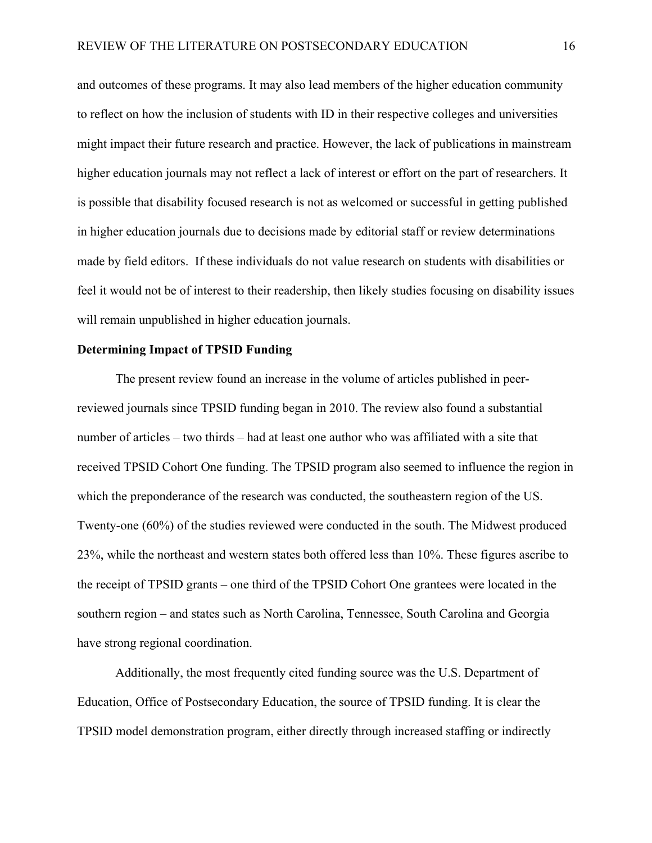and outcomes of these programs. It may also lead members of the higher education community to reflect on how the inclusion of students with ID in their respective colleges and universities might impact their future research and practice. However, the lack of publications in mainstream higher education journals may not reflect a lack of interest or effort on the part of researchers. It is possible that disability focused research is not as welcomed or successful in getting published in higher education journals due to decisions made by editorial staff or review determinations made by field editors. If these individuals do not value research on students with disabilities or feel it would not be of interest to their readership, then likely studies focusing on disability issues will remain unpublished in higher education journals.

#### **Determining Impact of TPSID Funding**

The present review found an increase in the volume of articles published in peerreviewed journals since TPSID funding began in 2010. The review also found a substantial number of articles – two thirds – had at least one author who was affiliated with a site that received TPSID Cohort One funding. The TPSID program also seemed to influence the region in which the preponderance of the research was conducted, the southeastern region of the US. Twenty-one (60%) of the studies reviewed were conducted in the south. The Midwest produced 23%, while the northeast and western states both offered less than 10%. These figures ascribe to the receipt of TPSID grants – one third of the TPSID Cohort One grantees were located in the southern region – and states such as North Carolina, Tennessee, South Carolina and Georgia have strong regional coordination.

Additionally, the most frequently cited funding source was the U.S. Department of Education, Office of Postsecondary Education, the source of TPSID funding. It is clear the TPSID model demonstration program, either directly through increased staffing or indirectly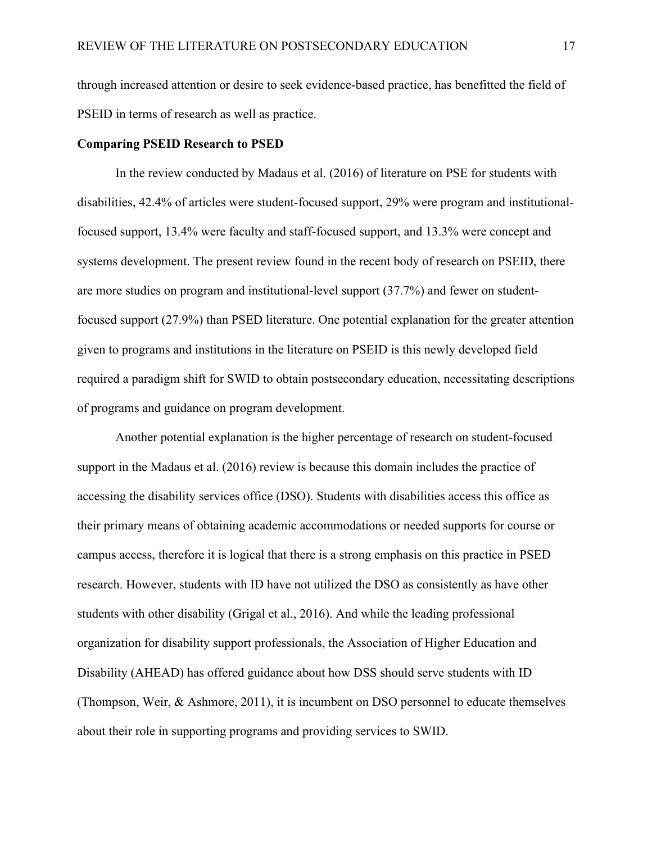through increased attention or desire to seek evidence-based practice, has benefitted the field of PSEID in terms of research as well as practice.

#### **Comparing PSEID Research to PSED**

In the review conducted by Madaus et al. (2016) of literature on PSE for students with disabilities, 42.4% of articles were student-focused support, 29% were program and institutionalfocused support, 13.4% were faculty and staff-focused support, and 13.3% were concept and systems development. The present review found in the recent body of research on PSEID, there are more studies on program and institutional-level support (37.7%) and fewer on studentfocused support (27.9%) than PSED literature. One potential explanation for the greater attention given to programs and institutions in the literature on PSEID is this newly developed field required a paradigm shift for SWID to obtain postsecondary education, necessitating descriptions of programs and guidance on program development.

Another potential explanation is the higher percentage of research on student-focused support in the Madaus et al. (2016) review is because this domain includes the practice of accessing the disability services office (DSO). Students with disabilities access this office as their primary means of obtaining academic accommodations or needed supports for course or campus access, therefore it is logical that there is a strong emphasis on this practice in PSED research. However, students with ID have not utilized the DSO as consistently as have other students with other disability (Grigal et al., 2016). And while the leading professional organization for disability support professionals, the Association of Higher Education and Disability (AHEAD) has offered guidance about how DSS should serve students with ID (Thompson, Weir, & Ashmore, 2011), it is incumbent on DSO personnel to educate themselves about their role in supporting programs and providing services to SWID.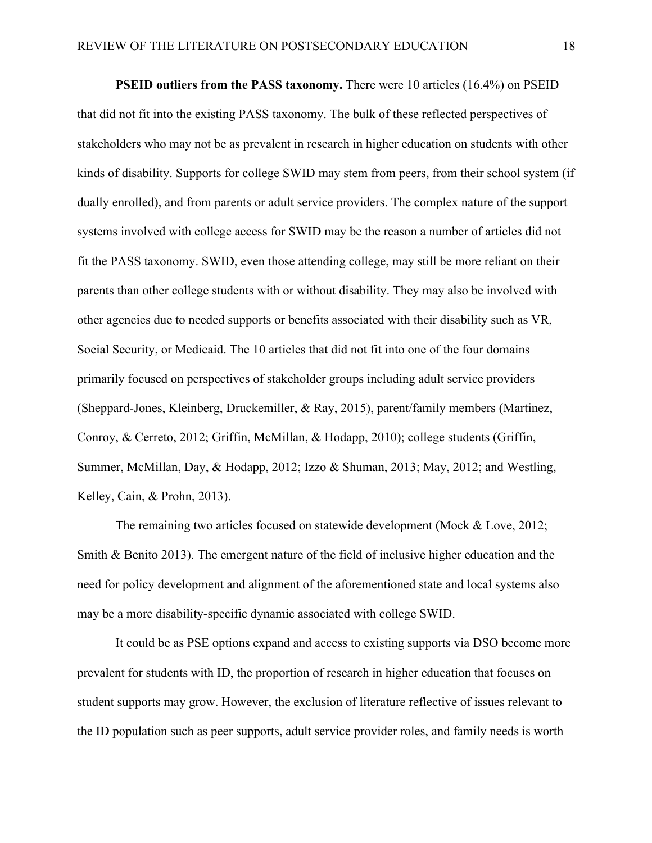**PSEID outliers from the PASS taxonomy.** There were 10 articles (16.4%) on PSEID that did not fit into the existing PASS taxonomy. The bulk of these reflected perspectives of stakeholders who may not be as prevalent in research in higher education on students with other kinds of disability. Supports for college SWID may stem from peers, from their school system (if dually enrolled), and from parents or adult service providers. The complex nature of the support systems involved with college access for SWID may be the reason a number of articles did not fit the PASS taxonomy. SWID, even those attending college, may still be more reliant on their parents than other college students with or without disability. They may also be involved with other agencies due to needed supports or benefits associated with their disability such as VR, Social Security, or Medicaid. The 10 articles that did not fit into one of the four domains primarily focused on perspectives of stakeholder groups including adult service providers (Sheppard-Jones, Kleinberg, Druckemiller, & Ray, 2015), parent/family members (Martinez, Conroy, & Cerreto, 2012; Griffin, McMillan, & Hodapp, 2010); college students (Griffin, Summer, McMillan, Day, & Hodapp, 2012; Izzo & Shuman, 2013; May, 2012; and Westling, Kelley, Cain, & Prohn, 2013).

The remaining two articles focused on statewide development (Mock & Love, 2012; Smith & Benito 2013). The emergent nature of the field of inclusive higher education and the need for policy development and alignment of the aforementioned state and local systems also may be a more disability-specific dynamic associated with college SWID.

It could be as PSE options expand and access to existing supports via DSO become more prevalent for students with ID, the proportion of research in higher education that focuses on student supports may grow. However, the exclusion of literature reflective of issues relevant to the ID population such as peer supports, adult service provider roles, and family needs is worth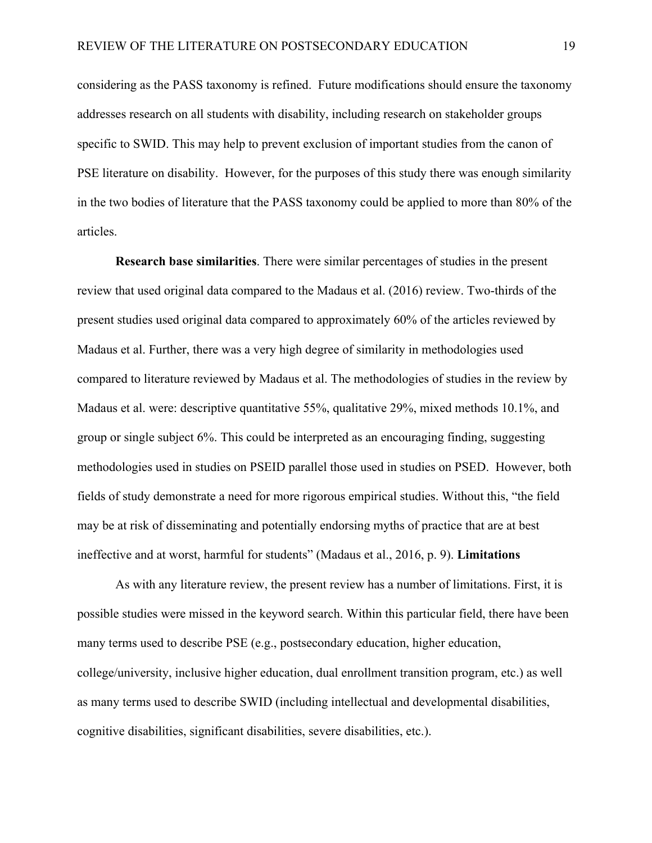considering as the PASS taxonomy is refined. Future modifications should ensure the taxonomy addresses research on all students with disability, including research on stakeholder groups specific to SWID. This may help to prevent exclusion of important studies from the canon of PSE literature on disability. However, for the purposes of this study there was enough similarity in the two bodies of literature that the PASS taxonomy could be applied to more than 80% of the articles.

**Research base similarities**. There were similar percentages of studies in the present review that used original data compared to the Madaus et al. (2016) review. Two-thirds of the present studies used original data compared to approximately 60% of the articles reviewed by Madaus et al. Further, there was a very high degree of similarity in methodologies used compared to literature reviewed by Madaus et al. The methodologies of studies in the review by Madaus et al. were: descriptive quantitative 55%, qualitative 29%, mixed methods 10.1%, and group or single subject 6%. This could be interpreted as an encouraging finding, suggesting methodologies used in studies on PSEID parallel those used in studies on PSED. However, both fields of study demonstrate a need for more rigorous empirical studies. Without this, "the field may be at risk of disseminating and potentially endorsing myths of practice that are at best ineffective and at worst, harmful for students" (Madaus et al., 2016, p. 9). **Limitations**

As with any literature review, the present review has a number of limitations. First, it is possible studies were missed in the keyword search. Within this particular field, there have been many terms used to describe PSE (e.g., postsecondary education, higher education, college/university, inclusive higher education, dual enrollment transition program, etc.) as well as many terms used to describe SWID (including intellectual and developmental disabilities, cognitive disabilities, significant disabilities, severe disabilities, etc.).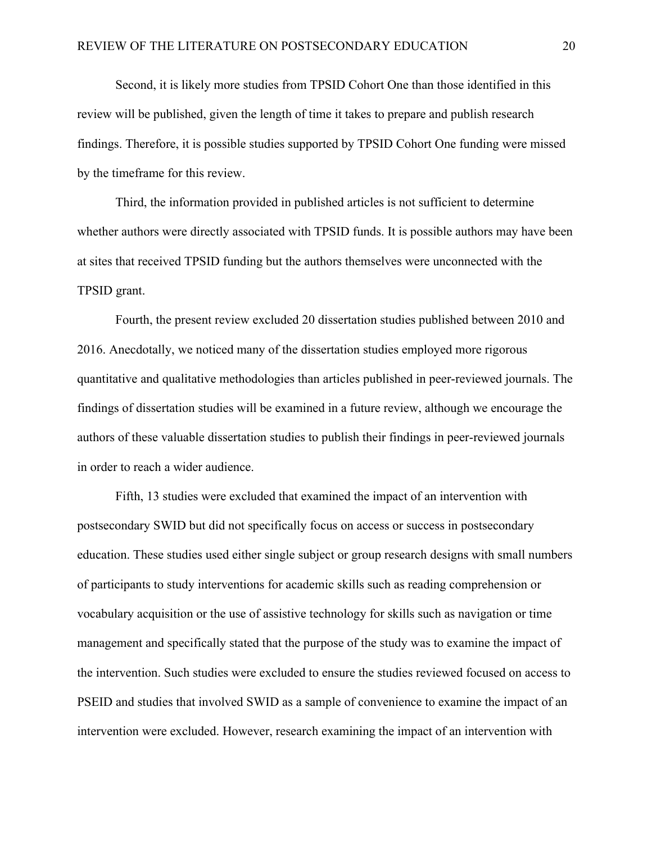Second, it is likely more studies from TPSID Cohort One than those identified in this review will be published, given the length of time it takes to prepare and publish research findings. Therefore, it is possible studies supported by TPSID Cohort One funding were missed by the timeframe for this review.

Third, the information provided in published articles is not sufficient to determine whether authors were directly associated with TPSID funds. It is possible authors may have been at sites that received TPSID funding but the authors themselves were unconnected with the TPSID grant.

Fourth, the present review excluded 20 dissertation studies published between 2010 and 2016. Anecdotally, we noticed many of the dissertation studies employed more rigorous quantitative and qualitative methodologies than articles published in peer-reviewed journals. The findings of dissertation studies will be examined in a future review, although we encourage the authors of these valuable dissertation studies to publish their findings in peer-reviewed journals in order to reach a wider audience.

Fifth, 13 studies were excluded that examined the impact of an intervention with postsecondary SWID but did not specifically focus on access or success in postsecondary education. These studies used either single subject or group research designs with small numbers of participants to study interventions for academic skills such as reading comprehension or vocabulary acquisition or the use of assistive technology for skills such as navigation or time management and specifically stated that the purpose of the study was to examine the impact of the intervention. Such studies were excluded to ensure the studies reviewed focused on access to PSEID and studies that involved SWID as a sample of convenience to examine the impact of an intervention were excluded. However, research examining the impact of an intervention with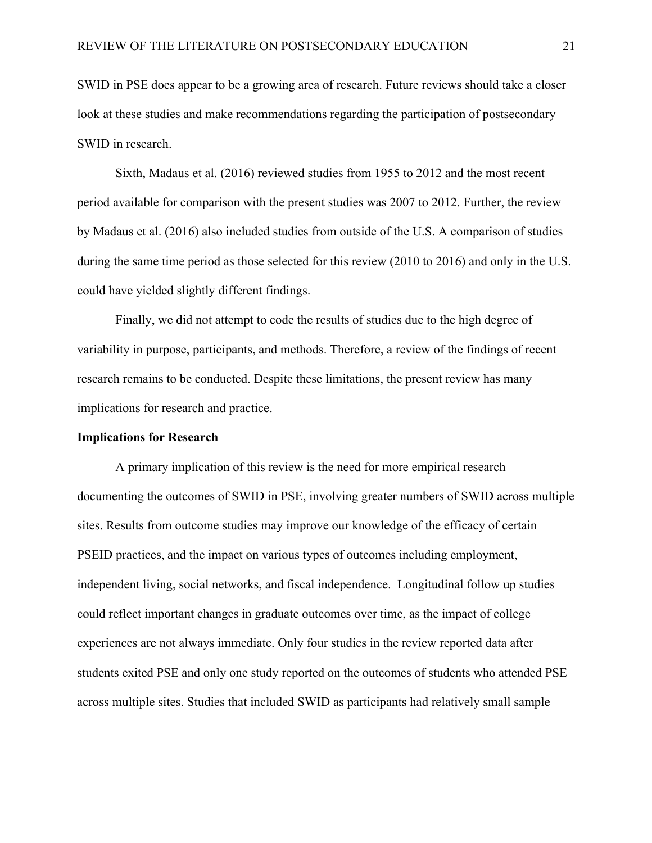SWID in PSE does appear to be a growing area of research. Future reviews should take a closer look at these studies and make recommendations regarding the participation of postsecondary SWID in research.

Sixth, Madaus et al. (2016) reviewed studies from 1955 to 2012 and the most recent period available for comparison with the present studies was 2007 to 2012. Further, the review by Madaus et al. (2016) also included studies from outside of the U.S. A comparison of studies during the same time period as those selected for this review (2010 to 2016) and only in the U.S. could have yielded slightly different findings.

Finally, we did not attempt to code the results of studies due to the high degree of variability in purpose, participants, and methods. Therefore, a review of the findings of recent research remains to be conducted. Despite these limitations, the present review has many implications for research and practice.

#### **Implications for Research**

A primary implication of this review is the need for more empirical research documenting the outcomes of SWID in PSE, involving greater numbers of SWID across multiple sites. Results from outcome studies may improve our knowledge of the efficacy of certain PSEID practices, and the impact on various types of outcomes including employment, independent living, social networks, and fiscal independence. Longitudinal follow up studies could reflect important changes in graduate outcomes over time, as the impact of college experiences are not always immediate. Only four studies in the review reported data after students exited PSE and only one study reported on the outcomes of students who attended PSE across multiple sites. Studies that included SWID as participants had relatively small sample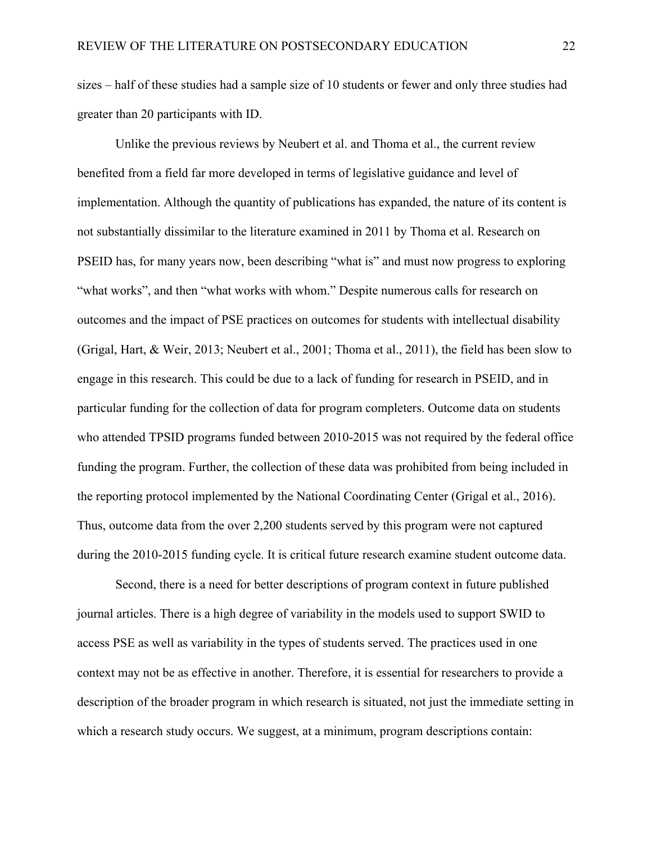sizes – half of these studies had a sample size of 10 students or fewer and only three studies had greater than 20 participants with ID.

Unlike the previous reviews by Neubert et al. and Thoma et al., the current review benefited from a field far more developed in terms of legislative guidance and level of implementation. Although the quantity of publications has expanded, the nature of its content is not substantially dissimilar to the literature examined in 2011 by Thoma et al. Research on PSEID has, for many years now, been describing "what is" and must now progress to exploring "what works", and then "what works with whom." Despite numerous calls for research on outcomes and the impact of PSE practices on outcomes for students with intellectual disability (Grigal, Hart, & Weir, 2013; Neubert et al., 2001; Thoma et al., 2011), the field has been slow to engage in this research. This could be due to a lack of funding for research in PSEID, and in particular funding for the collection of data for program completers. Outcome data on students who attended TPSID programs funded between 2010-2015 was not required by the federal office funding the program. Further, the collection of these data was prohibited from being included in the reporting protocol implemented by the National Coordinating Center (Grigal et al., 2016). Thus, outcome data from the over 2,200 students served by this program were not captured during the 2010-2015 funding cycle. It is critical future research examine student outcome data.

Second, there is a need for better descriptions of program context in future published journal articles. There is a high degree of variability in the models used to support SWID to access PSE as well as variability in the types of students served. The practices used in one context may not be as effective in another. Therefore, it is essential for researchers to provide a description of the broader program in which research is situated, not just the immediate setting in which a research study occurs. We suggest, at a minimum, program descriptions contain: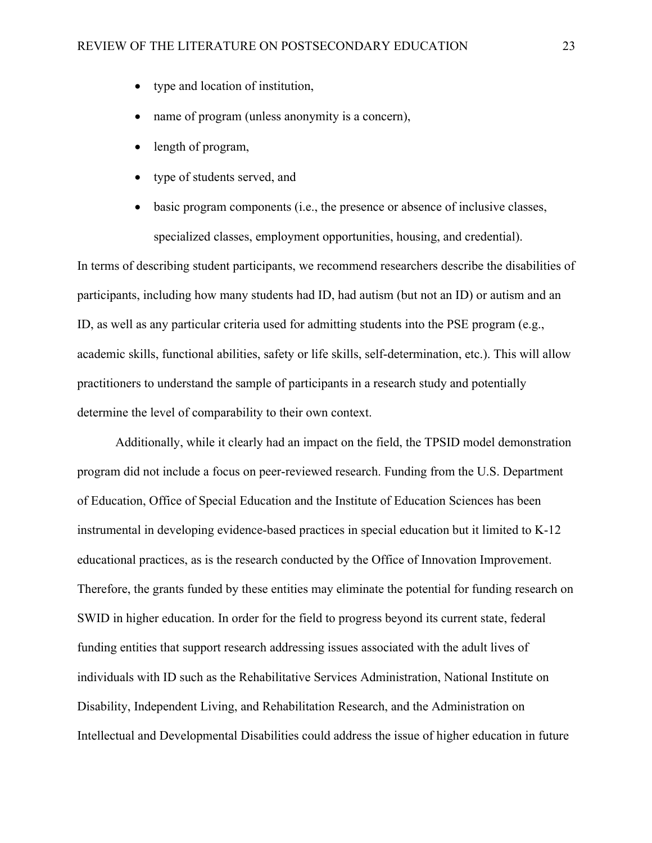- type and location of institution,
- name of program (unless anonymity is a concern),
- length of program,
- type of students served, and
- basic program components (i.e., the presence or absence of inclusive classes, specialized classes, employment opportunities, housing, and credential).

In terms of describing student participants, we recommend researchers describe the disabilities of participants, including how many students had ID, had autism (but not an ID) or autism and an ID, as well as any particular criteria used for admitting students into the PSE program (e.g., academic skills, functional abilities, safety or life skills, self-determination, etc.). This will allow practitioners to understand the sample of participants in a research study and potentially determine the level of comparability to their own context.

Additionally, while it clearly had an impact on the field, the TPSID model demonstration program did not include a focus on peer-reviewed research. Funding from the U.S. Department of Education, Office of Special Education and the Institute of Education Sciences has been instrumental in developing evidence-based practices in special education but it limited to K-12 educational practices, as is the research conducted by the Office of Innovation Improvement. Therefore, the grants funded by these entities may eliminate the potential for funding research on SWID in higher education. In order for the field to progress beyond its current state, federal funding entities that support research addressing issues associated with the adult lives of individuals with ID such as the Rehabilitative Services Administration, National Institute on Disability, Independent Living, and Rehabilitation Research, and the Administration on Intellectual and Developmental Disabilities could address the issue of higher education in future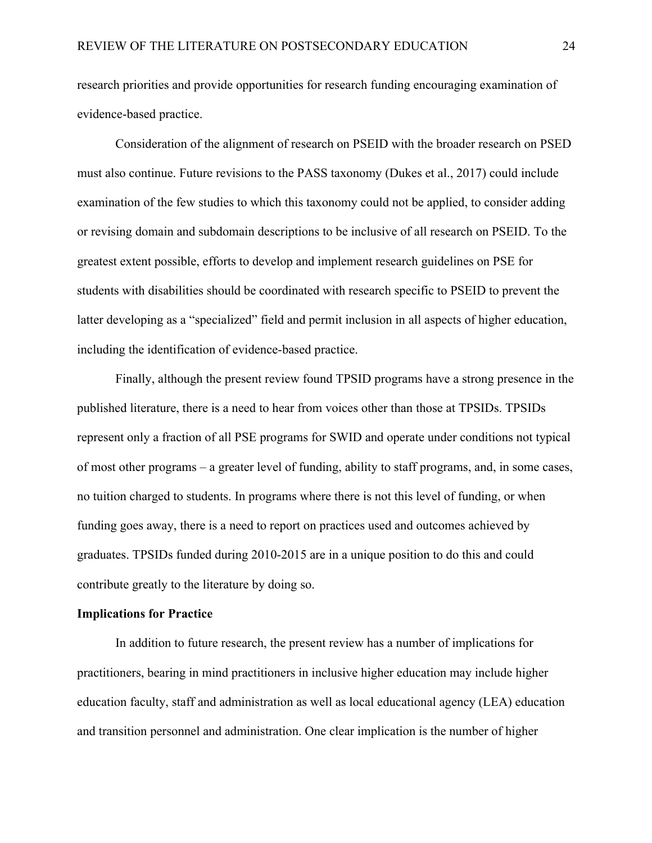research priorities and provide opportunities for research funding encouraging examination of evidence-based practice.

Consideration of the alignment of research on PSEID with the broader research on PSED must also continue. Future revisions to the PASS taxonomy (Dukes et al., 2017) could include examination of the few studies to which this taxonomy could not be applied, to consider adding or revising domain and subdomain descriptions to be inclusive of all research on PSEID. To the greatest extent possible, efforts to develop and implement research guidelines on PSE for students with disabilities should be coordinated with research specific to PSEID to prevent the latter developing as a "specialized" field and permit inclusion in all aspects of higher education, including the identification of evidence-based practice.

Finally, although the present review found TPSID programs have a strong presence in the published literature, there is a need to hear from voices other than those at TPSIDs. TPSIDs represent only a fraction of all PSE programs for SWID and operate under conditions not typical of most other programs – a greater level of funding, ability to staff programs, and, in some cases, no tuition charged to students. In programs where there is not this level of funding, or when funding goes away, there is a need to report on practices used and outcomes achieved by graduates. TPSIDs funded during 2010-2015 are in a unique position to do this and could contribute greatly to the literature by doing so.

### **Implications for Practice**

In addition to future research, the present review has a number of implications for practitioners, bearing in mind practitioners in inclusive higher education may include higher education faculty, staff and administration as well as local educational agency (LEA) education and transition personnel and administration. One clear implication is the number of higher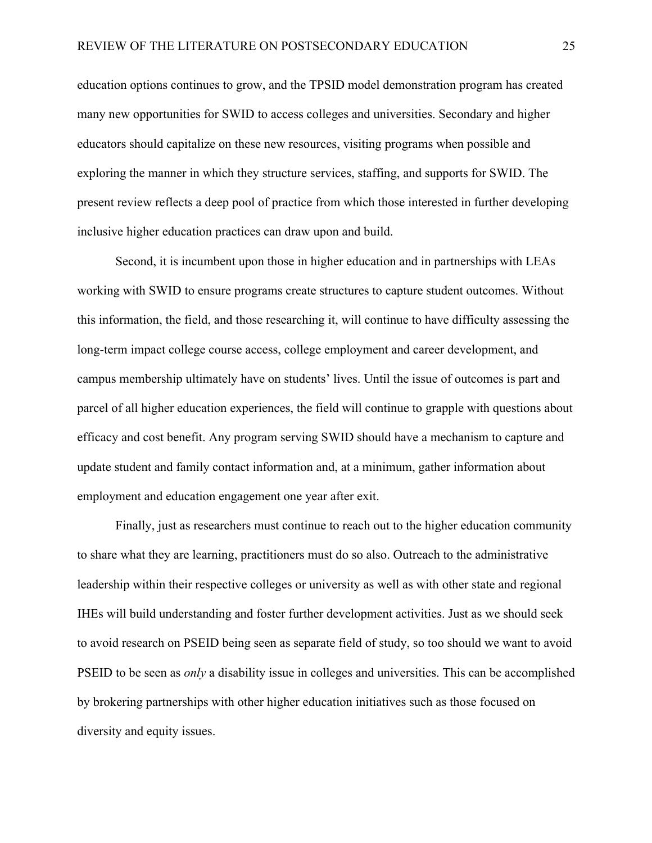education options continues to grow, and the TPSID model demonstration program has created many new opportunities for SWID to access colleges and universities. Secondary and higher educators should capitalize on these new resources, visiting programs when possible and exploring the manner in which they structure services, staffing, and supports for SWID. The present review reflects a deep pool of practice from which those interested in further developing inclusive higher education practices can draw upon and build.

Second, it is incumbent upon those in higher education and in partnerships with LEAs working with SWID to ensure programs create structures to capture student outcomes. Without this information, the field, and those researching it, will continue to have difficulty assessing the long-term impact college course access, college employment and career development, and campus membership ultimately have on students' lives. Until the issue of outcomes is part and parcel of all higher education experiences, the field will continue to grapple with questions about efficacy and cost benefit. Any program serving SWID should have a mechanism to capture and update student and family contact information and, at a minimum, gather information about employment and education engagement one year after exit.

Finally, just as researchers must continue to reach out to the higher education community to share what they are learning, practitioners must do so also. Outreach to the administrative leadership within their respective colleges or university as well as with other state and regional IHEs will build understanding and foster further development activities. Just as we should seek to avoid research on PSEID being seen as separate field of study, so too should we want to avoid PSEID to be seen as *only* a disability issue in colleges and universities. This can be accomplished by brokering partnerships with other higher education initiatives such as those focused on diversity and equity issues.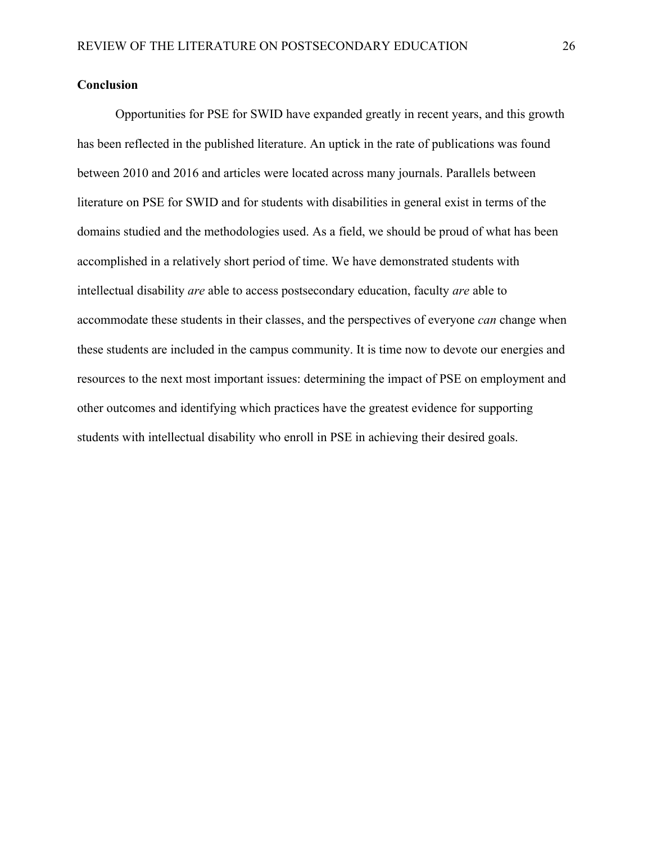### **Conclusion**

Opportunities for PSE for SWID have expanded greatly in recent years, and this growth has been reflected in the published literature. An uptick in the rate of publications was found between 2010 and 2016 and articles were located across many journals. Parallels between literature on PSE for SWID and for students with disabilities in general exist in terms of the domains studied and the methodologies used. As a field, we should be proud of what has been accomplished in a relatively short period of time. We have demonstrated students with intellectual disability *are* able to access postsecondary education, faculty *are* able to accommodate these students in their classes, and the perspectives of everyone *can* change when these students are included in the campus community. It is time now to devote our energies and resources to the next most important issues: determining the impact of PSE on employment and other outcomes and identifying which practices have the greatest evidence for supporting students with intellectual disability who enroll in PSE in achieving their desired goals.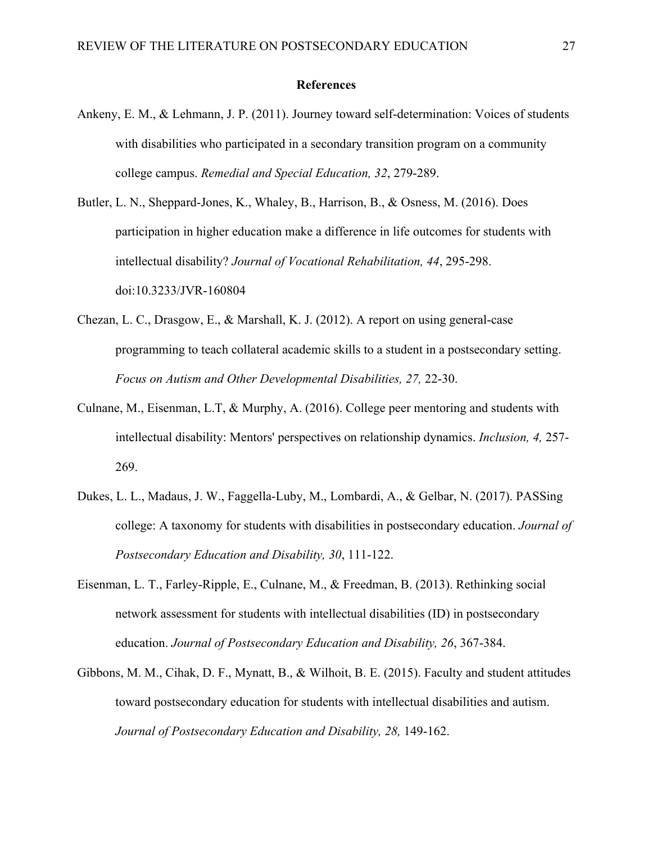#### **References**

- Ankeny, E. M., & Lehmann, J. P. (2011). Journey toward self-determination: Voices of students with disabilities who participated in a secondary transition program on a community college campus. *Remedial and Special Education, 32*, 279-289.
- Butler, L. N., Sheppard-Jones, K., Whaley, B., Harrison, B., & Osness, M. (2016). Does participation in higher education make a difference in life outcomes for students with intellectual disability? *Journal of Vocational Rehabilitation, 44*, 295-298. doi:10.3233/JVR-160804
- Chezan, L. C., Drasgow, E., & Marshall, K. J. (2012). A report on using general-case programming to teach collateral academic skills to a student in a postsecondary setting. *Focus on Autism and Other Developmental Disabilities, 27,* 22-30.
- Culnane, M., Eisenman, L.T, & Murphy, A. (2016). College peer mentoring and students with intellectual disability: Mentors' perspectives on relationship dynamics. *Inclusion, 4,* 257- 269.
- Dukes, L. L., Madaus, J. W., Faggella-Luby, M., Lombardi, A., & Gelbar, N. (2017). PASSing college: A taxonomy for students with disabilities in postsecondary education. *Journal of Postsecondary Education and Disability, 30*, 111-122.
- Eisenman, L. T., Farley-Ripple, E., Culnane, M., & Freedman, B. (2013). Rethinking social network assessment for students with intellectual disabilities (ID) in postsecondary education. *Journal of Postsecondary Education and Disability, 26*, 367-384.
- Gibbons, M. M., Cihak, D. F., Mynatt, B., & Wilhoit, B. E. (2015). Faculty and student attitudes toward postsecondary education for students with intellectual disabilities and autism. *Journal of Postsecondary Education and Disability, 28,* 149-162.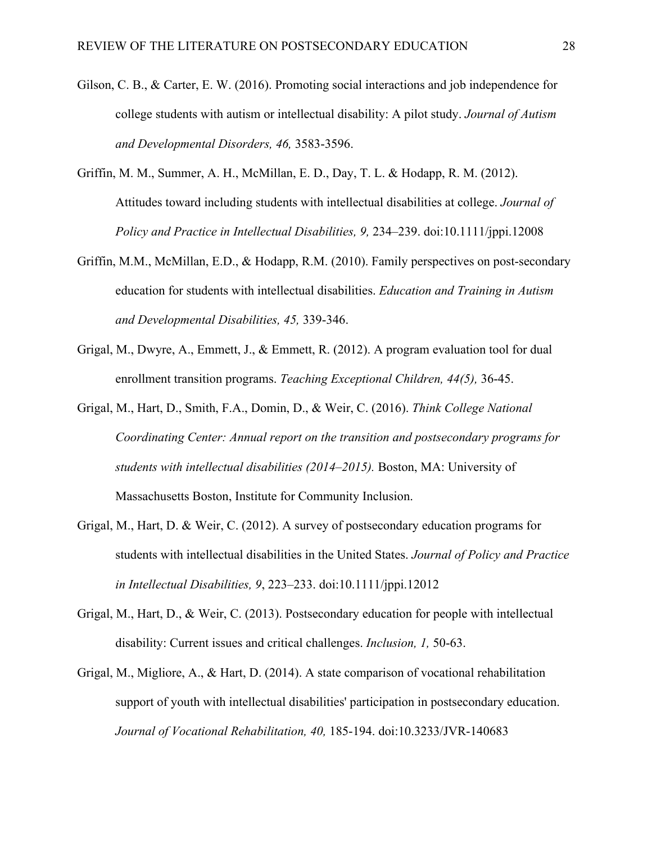- Gilson, C. B., & Carter, E. W. (2016). Promoting social interactions and job independence for college students with autism or intellectual disability: A pilot study. *Journal of Autism and Developmental Disorders, 46,* 3583-3596.
- Griffin, M. M., Summer, A. H., McMillan, E. D., Day, T. L. & Hodapp, R. M. (2012). Attitudes toward including students with intellectual disabilities at college. *Journal of Policy and Practice in Intellectual Disabilities, 9,* 234–239. doi:10.1111/jppi.12008
- Griffin, M.M., McMillan, E.D., & Hodapp, R.M. (2010). Family perspectives on post-secondary education for students with intellectual disabilities. *Education and Training in Autism and Developmental Disabilities, 45,* 339-346.
- Grigal, M., Dwyre, A., Emmett, J., & Emmett, R. (2012). A program evaluation tool for dual enrollment transition programs. *Teaching Exceptional Children, 44(5),* 36-45.
- Grigal, M., Hart, D., Smith, F.A., Domin, D., & Weir, C. (2016). *Think College National Coordinating Center: Annual report on the transition and postsecondary programs for students with intellectual disabilities (2014–2015).* Boston, MA: University of Massachusetts Boston, Institute for Community Inclusion.
- Grigal, M., Hart, D. & Weir, C. (2012). A survey of postsecondary education programs for students with intellectual disabilities in the United States. *Journal of Policy and Practice in Intellectual Disabilities, 9*, 223–233. doi:10.1111/jppi.12012
- Grigal, M., Hart, D., & Weir, C. (2013). Postsecondary education for people with intellectual disability: Current issues and critical challenges. *Inclusion, 1,* 50-63.
- Grigal, M., Migliore, A., & Hart, D. (2014). A state comparison of vocational rehabilitation support of youth with intellectual disabilities' participation in postsecondary education. *Journal of Vocational Rehabilitation, 40,* 185-194. doi:10.3233/JVR-140683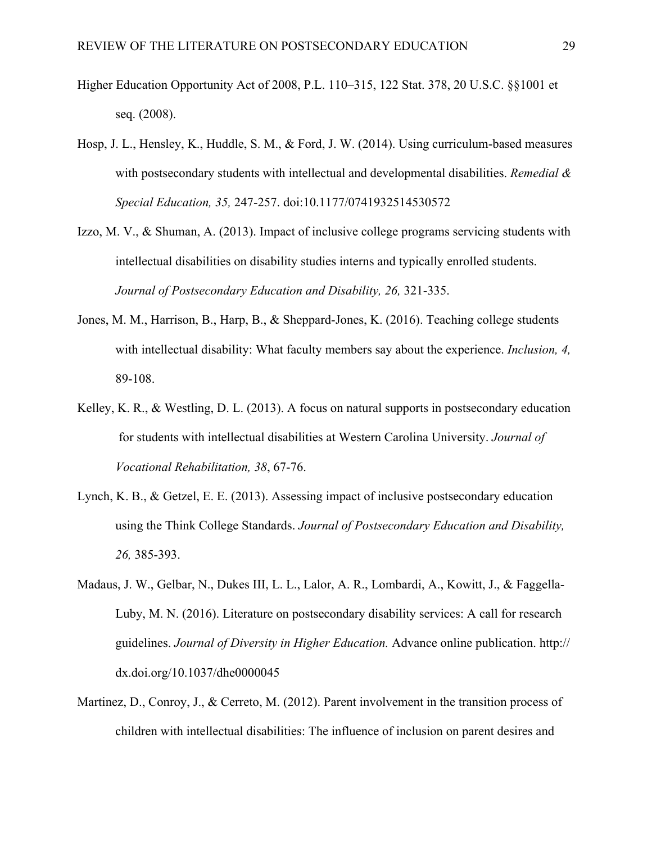- Higher Education Opportunity Act of 2008, P.L. 110–315, 122 Stat. 378, 20 U.S.C. §§1001 et seq. (2008).
- Hosp, J. L., Hensley, K., Huddle, S. M., & Ford, J. W. (2014). Using curriculum-based measures with postsecondary students with intellectual and developmental disabilities. *Remedial & Special Education, 35,* 247-257. doi:10.1177/0741932514530572
- Izzo, M. V., & Shuman, A. (2013). Impact of inclusive college programs servicing students with intellectual disabilities on disability studies interns and typically enrolled students. *Journal of Postsecondary Education and Disability, 26,* 321-335.
- Jones, M. M., Harrison, B., Harp, B., & Sheppard-Jones, K. (2016). Teaching college students with intellectual disability: What faculty members say about the experience. *Inclusion, 4,* 89-108.
- Kelley, K. R., & Westling, D. L. (2013). A focus on natural supports in postsecondary education for students with intellectual disabilities at Western Carolina University. *Journal of Vocational Rehabilitation, 38*, 67-76.
- Lynch, K. B., & Getzel, E. E. (2013). Assessing impact of inclusive postsecondary education using the Think College Standards. *Journal of Postsecondary Education and Disability, 26,* 385-393.
- Madaus, J. W., Gelbar, N., Dukes III, L. L., Lalor, A. R., Lombardi, A., Kowitt, J., & Faggella-Luby, M. N. (2016). Literature on postsecondary disability services: A call for research guidelines. *Journal of Diversity in Higher Education.* Advance online publication. http:// dx.doi.org/10.1037/dhe0000045
- Martinez, D., Conroy, J., & Cerreto, M. (2012). Parent involvement in the transition process of children with intellectual disabilities: The influence of inclusion on parent desires and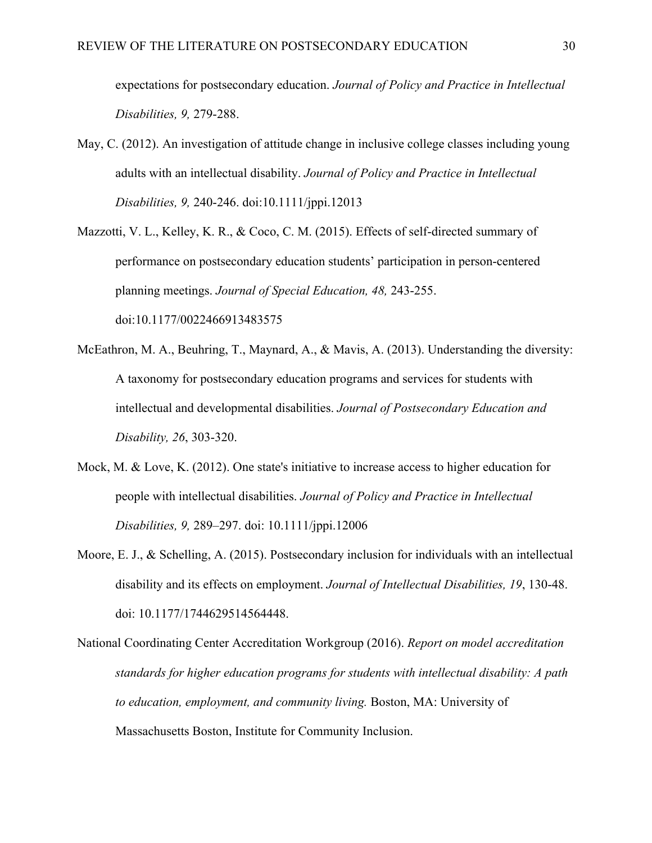expectations for postsecondary education. *Journal of Policy and Practice in Intellectual Disabilities, 9,* 279-288.

- May, C. (2012). An investigation of attitude change in inclusive college classes including young adults with an intellectual disability. *Journal of Policy and Practice in Intellectual Disabilities, 9,* 240-246. doi:10.1111/jppi.12013
- Mazzotti, V. L., Kelley, K. R., & Coco, C. M. (2015). Effects of self-directed summary of performance on postsecondary education students' participation in person-centered planning meetings. *Journal of Special Education, 48,* 243-255. doi:10.1177/0022466913483575
- McEathron, M. A., Beuhring, T., Maynard, A., & Mavis, A. (2013). Understanding the diversity: A taxonomy for postsecondary education programs and services for students with intellectual and developmental disabilities. *Journal of Postsecondary Education and Disability, 26*, 303-320.
- Mock, M. & Love, K. (2012). One state's initiative to increase access to higher education for people with intellectual disabilities. *Journal of Policy and Practice in Intellectual Disabilities, 9,* 289–297. doi: 10.1111/jppi.12006
- Moore, E. J., & Schelling, A. (2015). Postsecondary inclusion for individuals with an intellectual disability and its effects on employment. *Journal of Intellectual Disabilities, 19*, 130-48. doi: 10.1177/1744629514564448.
- National Coordinating Center Accreditation Workgroup (2016). *Report on model accreditation standards for higher education programs for students with intellectual disability: A path to education, employment, and community living.* Boston, MA: University of Massachusetts Boston, Institute for Community Inclusion.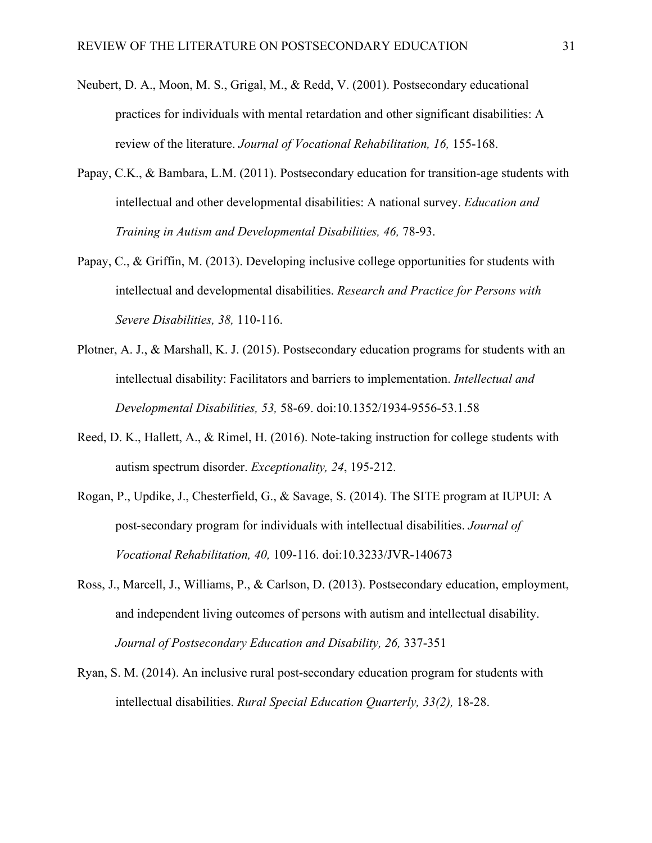- Neubert, D. A., Moon, M. S., Grigal, M., & Redd, V. (2001). Postsecondary educational practices for individuals with mental retardation and other significant disabilities: A review of the literature. *Journal of Vocational Rehabilitation, 16,* 155-168.
- Papay, C.K., & Bambara, L.M. (2011). Postsecondary education for transition-age students with intellectual and other developmental disabilities: A national survey. *Education and Training in Autism and Developmental Disabilities, 46,* 78-93.
- Papay, C., & Griffin, M. (2013). Developing inclusive college opportunities for students with intellectual and developmental disabilities. *Research and Practice for Persons with Severe Disabilities, 38,* 110-116.
- Plotner, A. J., & Marshall, K. J. (2015). Postsecondary education programs for students with an intellectual disability: Facilitators and barriers to implementation. *Intellectual and Developmental Disabilities, 53,* 58-69. doi:10.1352/1934-9556-53.1.58
- Reed, D. K., Hallett, A., & Rimel, H. (2016). Note-taking instruction for college students with autism spectrum disorder. *Exceptionality, 24*, 195-212.
- Rogan, P., Updike, J., Chesterfield, G., & Savage, S. (2014). The SITE program at IUPUI: A post-secondary program for individuals with intellectual disabilities. *Journal of Vocational Rehabilitation, 40,* 109-116. doi:10.3233/JVR-140673
- Ross, J., Marcell, J., Williams, P., & Carlson, D. (2013). Postsecondary education, employment, and independent living outcomes of persons with autism and intellectual disability. *Journal of Postsecondary Education and Disability, 26,* 337-351
- Ryan, S. M. (2014). An inclusive rural post-secondary education program for students with intellectual disabilities. *Rural Special Education Quarterly, 33(2),* 18-28.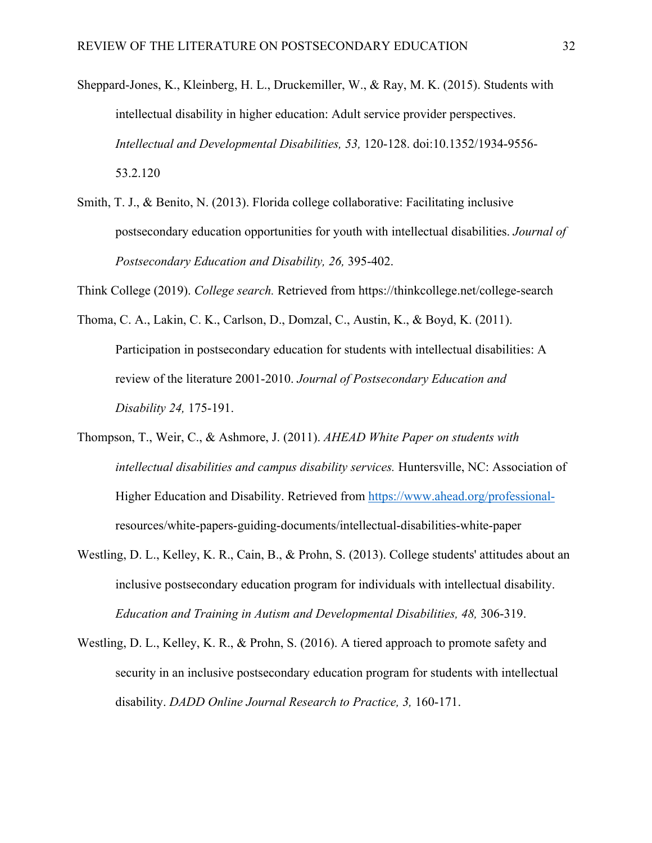- Sheppard-Jones, K., Kleinberg, H. L., Druckemiller, W., & Ray, M. K. (2015). Students with intellectual disability in higher education: Adult service provider perspectives. *Intellectual and Developmental Disabilities, 53,* 120-128. doi:10.1352/1934-9556- 53.2.120
- Smith, T. J., & Benito, N. (2013). Florida college collaborative: Facilitating inclusive postsecondary education opportunities for youth with intellectual disabilities. *Journal of Postsecondary Education and Disability, 26,* 395-402.

Think College (2019). *College search.* Retrieved from https://thinkcollege.net/college-search

- Thoma, C. A., Lakin, C. K., Carlson, D., Domzal, C., Austin, K., & Boyd, K. (2011). Participation in postsecondary education for students with intellectual disabilities: A review of the literature 2001-2010. *Journal of Postsecondary Education and Disability 24,* 175-191.
- Thompson, T., Weir, C., & Ashmore, J. (2011). *AHEAD White Paper on students with intellectual disabilities and campus disability services.* Huntersville, NC: Association of Higher Education and Disability. Retrieved from https://www.ahead.org/professionalresources/white-papers-guiding-documents/intellectual-disabilities-white-paper
- Westling, D. L., Kelley, K. R., Cain, B., & Prohn, S. (2013). College students' attitudes about an inclusive postsecondary education program for individuals with intellectual disability. *Education and Training in Autism and Developmental Disabilities, 48,* 306-319.
- Westling, D. L., Kelley, K. R., & Prohn, S. (2016). A tiered approach to promote safety and security in an inclusive postsecondary education program for students with intellectual disability. *DADD Online Journal Research to Practice, 3,* 160-171.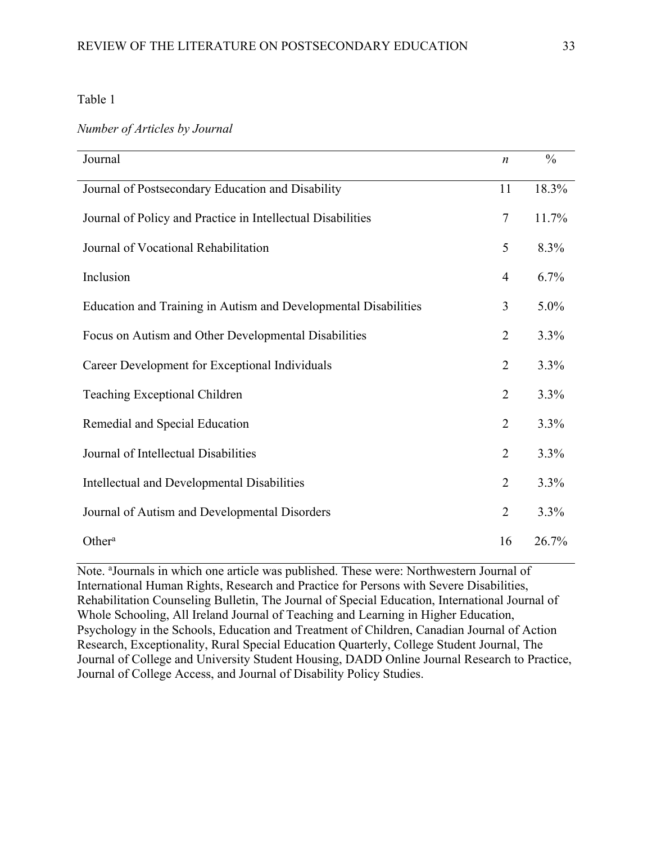### *Number of Articles by Journal*

| Journal                                                         | $\boldsymbol{n}$ | $\frac{0}{0}$ |
|-----------------------------------------------------------------|------------------|---------------|
| Journal of Postsecondary Education and Disability               | 11               | 18.3%         |
| Journal of Policy and Practice in Intellectual Disabilities     | $\overline{7}$   | 11.7%         |
| Journal of Vocational Rehabilitation                            | 5                | 8.3%          |
| Inclusion                                                       | $\overline{4}$   | 6.7%          |
| Education and Training in Autism and Developmental Disabilities | 3                | $5.0\%$       |
| Focus on Autism and Other Developmental Disabilities            | $\overline{2}$   | 3.3%          |
| Career Development for Exceptional Individuals                  | $\overline{2}$   | 3.3%          |
| Teaching Exceptional Children                                   | $\overline{2}$   | 3.3%          |
| Remedial and Special Education                                  | $\overline{2}$   | 3.3%          |
| Journal of Intellectual Disabilities                            | $\overline{2}$   | 3.3%          |
| Intellectual and Developmental Disabilities                     | $\overline{2}$   | 3.3%          |
| Journal of Autism and Developmental Disorders                   | $\overline{2}$   | 3.3%          |
| Other <sup>a</sup>                                              | 16               | 26.7%         |

Note. <sup>a</sup>Journals in which one article was published. These were: Northwestern Journal of International Human Rights, Research and Practice for Persons with Severe Disabilities, Rehabilitation Counseling Bulletin, The Journal of Special Education, International Journal of Whole Schooling, All Ireland Journal of Teaching and Learning in Higher Education, Psychology in the Schools, Education and Treatment of Children, Canadian Journal of Action Research, Exceptionality, Rural Special Education Quarterly, College Student Journal, The Journal of College and University Student Housing, DADD Online Journal Research to Practice, Journal of College Access, and Journal of Disability Policy Studies.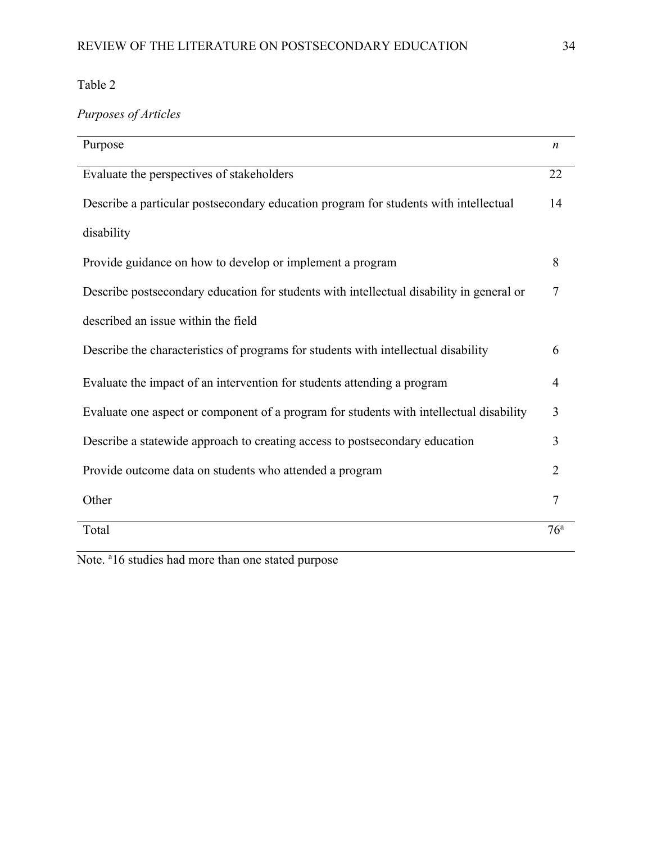# *Purposes of Articles*

| Purpose                                                                                  | $\boldsymbol{n}$ |
|------------------------------------------------------------------------------------------|------------------|
| Evaluate the perspectives of stakeholders                                                | 22               |
| Describe a particular postsecondary education program for students with intellectual     | 14               |
| disability                                                                               |                  |
| Provide guidance on how to develop or implement a program                                | 8                |
| Describe postsecondary education for students with intellectual disability in general or | 7                |
| described an issue within the field                                                      |                  |
| Describe the characteristics of programs for students with intellectual disability       | 6                |
| Evaluate the impact of an intervention for students attending a program                  | 4                |
| Evaluate one aspect or component of a program for students with intellectual disability  | 3                |
| Describe a statewide approach to creating access to postsecondary education              | 3                |
| Provide outcome data on students who attended a program                                  | 2                |
| Other                                                                                    | 7                |
| Total                                                                                    | 76 <sup>a</sup>  |

Note. <sup>a</sup>16 studies had more than one stated purpose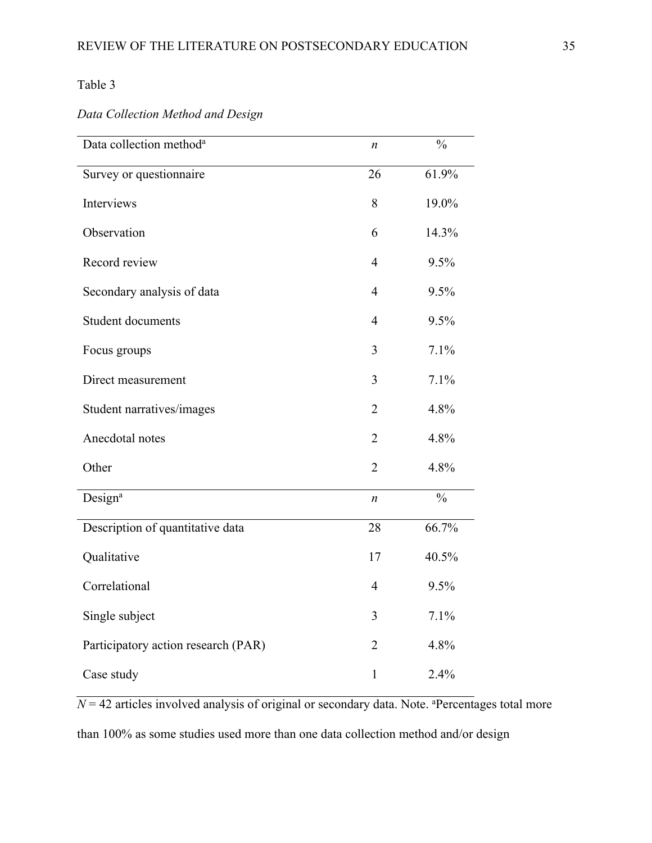*Data Collection Method and Design*

| Data collection method <sup>a</sup> | $\boldsymbol{n}$ | $\frac{0}{0}$ |
|-------------------------------------|------------------|---------------|
| Survey or questionnaire             | 26               | 61.9%         |
| Interviews                          | 8                | 19.0%         |
| Observation                         | 6                | 14.3%         |
| Record review                       | $\overline{4}$   | 9.5%          |
| Secondary analysis of data          | $\overline{4}$   | 9.5%          |
| Student documents                   | $\overline{4}$   | 9.5%          |
| Focus groups                        | 3                | 7.1%          |
| Direct measurement                  | 3                | 7.1%          |
| Student narratives/images           | $\overline{2}$   | 4.8%          |
| Anecdotal notes                     | $\overline{2}$   | 4.8%          |
| Other                               | $\overline{2}$   | 4.8%          |
| Design <sup>a</sup>                 | $\boldsymbol{n}$ | $\frac{0}{0}$ |
| Description of quantitative data    | 28               | 66.7%         |
| Qualitative                         | 17               | 40.5%         |
| Correlational                       | $\overline{4}$   | 9.5%          |
| Single subject                      | 3                | 7.1%          |
| Participatory action research (PAR) | $\overline{2}$   | 4.8%          |
| Case study                          | $\mathbf{1}$     | 2.4%          |

 $N = 42$  articles involved analysis of original or secondary data. Note. <sup>a</sup>Percentages total more than 100% as some studies used more than one data collection method and/or design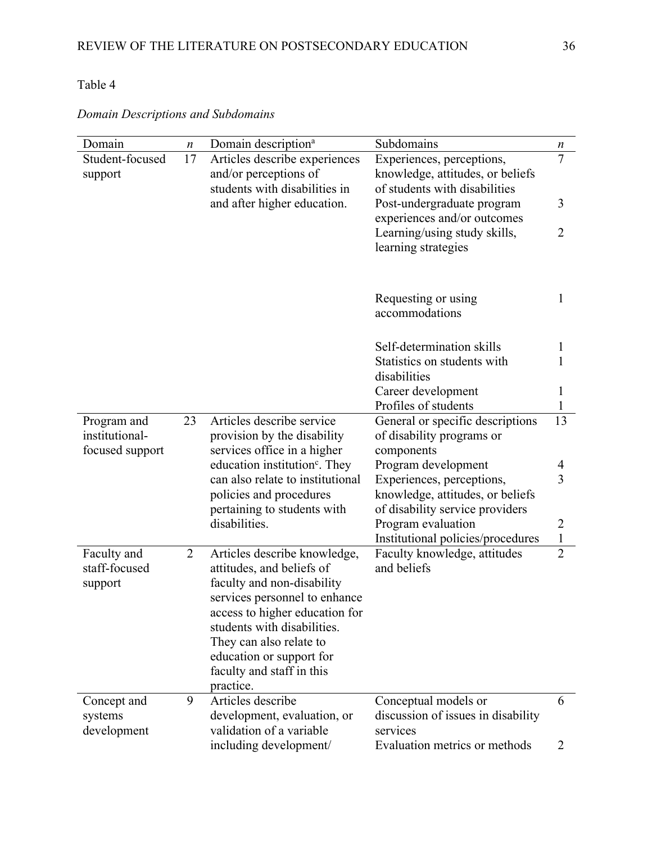| Domain          | $\boldsymbol{n}$ | Domain description <sup>a</sup>           | Subdomains                            | $\boldsymbol{n}$ |
|-----------------|------------------|-------------------------------------------|---------------------------------------|------------------|
| Student-focused | 17               | Articles describe experiences             | Experiences, perceptions,             | $\tau$           |
| support         |                  | and/or perceptions of                     | knowledge, attitudes, or beliefs      |                  |
|                 |                  | students with disabilities in             | of students with disabilities         |                  |
|                 |                  | and after higher education.               | Post-undergraduate program            | 3                |
|                 |                  |                                           | experiences and/or outcomes           |                  |
|                 |                  |                                           | Learning/using study skills,          | $\overline{2}$   |
|                 |                  |                                           | learning strategies                   |                  |
|                 |                  |                                           |                                       |                  |
|                 |                  |                                           |                                       |                  |
|                 |                  |                                           | Requesting or using<br>accommodations | $\mathbf{1}$     |
|                 |                  |                                           |                                       |                  |
|                 |                  |                                           | Self-determination skills             | $\mathbf{1}$     |
|                 |                  |                                           | Statistics on students with           | 1                |
|                 |                  |                                           | disabilities                          |                  |
|                 |                  |                                           | Career development                    | $\mathbf{1}$     |
|                 |                  |                                           | Profiles of students                  | $\mathbf{1}$     |
| Program and     | 23               | Articles describe service                 | General or specific descriptions      | 13               |
| institutional-  |                  | provision by the disability               | of disability programs or             |                  |
| focused support |                  | services office in a higher               | components                            |                  |
|                 |                  | education institution <sup>c</sup> . They | Program development                   | 4                |
|                 |                  | can also relate to institutional          | Experiences, perceptions,             | $\overline{3}$   |
|                 |                  | policies and procedures                   | knowledge, attitudes, or beliefs      |                  |
|                 |                  | pertaining to students with               | of disability service providers       |                  |
|                 |                  | disabilities.                             | Program evaluation                    | 2                |
|                 |                  |                                           | Institutional policies/procedures     | $\mathbf{1}$     |
| Faculty and     | 2                | Articles describe knowledge,              | Faculty knowledge, attitudes          | $\overline{2}$   |
| staff-focused   |                  | attitudes, and beliefs of                 | and beliefs                           |                  |
| support         |                  | faculty and non-disability                |                                       |                  |
|                 |                  | services personnel to enhance             |                                       |                  |
|                 |                  | access to higher education for            |                                       |                  |
|                 |                  | students with disabilities.               |                                       |                  |
|                 |                  | They can also relate to                   |                                       |                  |
|                 |                  | education or support for                  |                                       |                  |
|                 |                  | faculty and staff in this<br>practice.    |                                       |                  |
| Concept and     | 9                | Articles describe                         | Conceptual models or                  | 6                |
| systems         |                  | development, evaluation, or               | discussion of issues in disability    |                  |
| development     |                  | validation of a variable                  | services                              |                  |
|                 |                  | including development/                    | Evaluation metrics or methods         | $\overline{2}$   |

*Domain Descriptions and Subdomains*